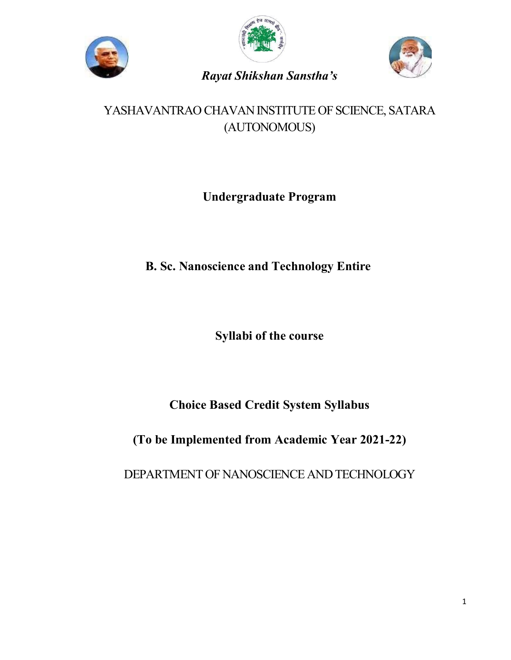





# *Rayat Shikshan Sanstha's*

# YASHAVANTRAO CHAVAN INSTITUTE OF SCIENCE, SATARA (AUTONOMOUS)

# **Undergraduate Program**

# **B. Sc. Nanoscience and Technology Entire**

**Syllabi of the course**

**Choice Based Credit System Syllabus**

**(To be Implemented from Academic Year 2021-22)**

DEPARTMENT OF NANOSCIENCE AND TECHNOLOGY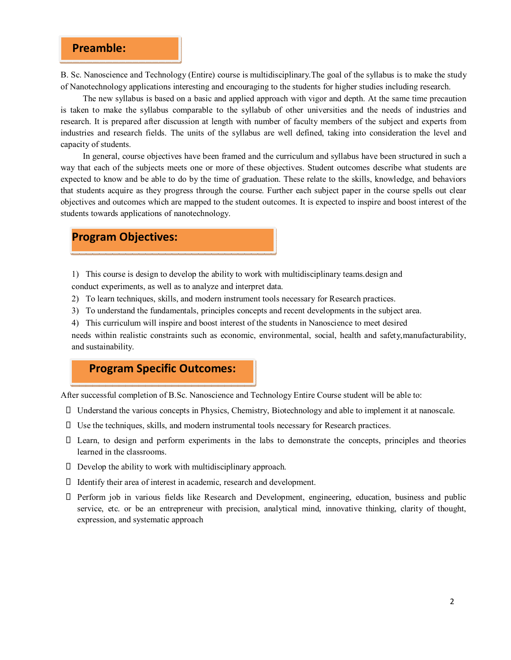## **Preamble:**

B. Sc. Nanoscience and Technology (Entire) course is multidisciplinary.The goal of the syllabus is to make the study of Nanotechnology applications interesting and encouraging to the students for higher studies including research.

The new syllabus is based on a basic and applied approach with vigor and depth. At the same time precaution is taken to make the syllabus comparable to the syllabub of other universities and the needs of industries and research. It is prepared after discussion at length with number of faculty members of the subject and experts from industries and research fields. The units of the syllabus are well defined, taking into consideration the level and capacity of students.

In general, course objectives have been framed and the curriculum and syllabus have been structured in such a way that each of the subjects meets one or more of these objectives. Student outcomes describe what students are expected to know and be able to do by the time of graduation. These relate to the skills, knowledge, and behaviors that students acquire as they progress through the course. Further each subject paper in the course spells out clear objectives and outcomes which are mapped to the student outcomes. It is expected to inspire and boost interest of the students towards applications of nanotechnology.

## **Program Objectives:**

1) This course is design to develop the ability to work with multidisciplinary teams.design and conduct experiments, as well as to analyze and interpret data.

- 2) To learn techniques, skills, and modern instrument tools necessary for Research practices.
- 3) To understand the fundamentals, principles concepts and recent developments in the subject area.
- 4) This curriculum will inspire and boost interest of the students in Nanoscience to meet desired

needs within realistic constraints such as economic, environmental, social, health and safety,manufacturability, and sustainability.

## **Program Specific Outcomes:**

After successful completion of B.Sc. Nanoscience and Technology Entire Course student will be able to:

- Understand the various concepts in Physics, Chemistry, Biotechnology and able to implement it at nanoscale.
- $\Box$  Use the techniques, skills, and modern instrumental tools necessary for Research practices.
- Learn, to design and perform experiments in the labs to demonstrate the concepts, principles and theories learned in the classrooms.
- $\Box$  Develop the ability to work with multidisciplinary approach.
- Identify their area of interest in academic, research and development.
- Perform job in various fields like Research and Development, engineering, education, business and public service, etc. or be an entrepreneur with precision, analytical mind, innovative thinking, clarity of thought, expression, and systematic approach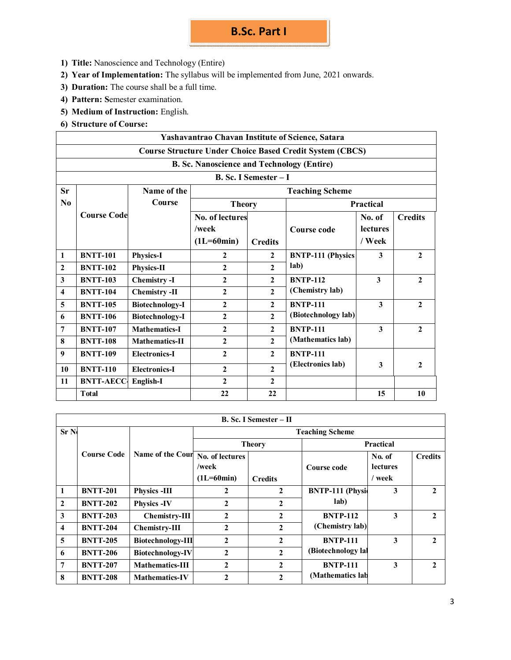# **B.Sc. Part I**

- **1) Title:** Nanoscience and Technology (Entire)
- **2) Year of Implementation:** The syllabus will be implemented from June, 2021 onwards.
- **3) Duration:** The course shall be a full time.
- **4) Pattern: S**emester examination.
- **5) Medium of Instruction:** English.
- **6) Structure of Course:**

| Yashavantrao Chavan Institute of Science, Satara                |                    |                        |                                                   |                       |                          |                 |                |
|-----------------------------------------------------------------|--------------------|------------------------|---------------------------------------------------|-----------------------|--------------------------|-----------------|----------------|
| <b>Course Structure Under Choice Based Credit System (CBCS)</b> |                    |                        |                                                   |                       |                          |                 |                |
|                                                                 |                    |                        | <b>B. Sc. Nanoscience and Technology (Entire)</b> |                       |                          |                 |                |
|                                                                 |                    |                        |                                                   | B. Sc. I Semester - I |                          |                 |                |
| Sr                                                              |                    | Name of the            |                                                   |                       | <b>Teaching Scheme</b>   |                 |                |
| N <sub>0</sub>                                                  |                    | Course                 | <b>Theory</b><br><b>Practical</b>                 |                       |                          |                 |                |
|                                                                 | <b>Course Code</b> |                        | No. of lectures                                   |                       |                          | No. of          | <b>Credits</b> |
|                                                                 |                    |                        | /week                                             |                       | Course code              | <b>lectures</b> |                |
|                                                                 |                    |                        | $(1L=60min)$                                      | <b>Credits</b>        |                          | / Week          |                |
| 1                                                               | <b>BNTT-101</b>    | <b>Physics-I</b>       | $\mathbf{2}$                                      | $\mathbf{2}$          | <b>BNTP-111 (Physics</b> | 3               | $\overline{2}$ |
| $\boldsymbol{2}$                                                | <b>BNTT-102</b>    | Physics-II             | $\mathbf{2}$                                      | $\mathbf{2}$          | lab)                     |                 |                |
| 3                                                               | <b>BNTT-103</b>    | <b>Chemistry-I</b>     | $\mathbf{2}$                                      | 2                     | <b>BNTP-112</b>          | 3               | $\mathbf{2}$   |
| $\overline{\mathbf{4}}$                                         | <b>BNTT-104</b>    | <b>Chemistry -II</b>   | $\mathbf{2}$                                      | $\overline{c}$        | (Chemistry lab)          |                 |                |
| 5                                                               | <b>BNTT-105</b>    | <b>Biotechnology-I</b> | $\overline{2}$                                    | 2                     | <b>BNTP-111</b>          | 3               | $\mathbf{2}$   |
| 6                                                               | <b>BNTT-106</b>    | <b>Biotechnology-I</b> | $\mathbf{2}$                                      | $\mathbf{2}$          | (Biotechnology lab)      |                 |                |
| 7                                                               | <b>BNTT-107</b>    | <b>Mathematics-I</b>   | $\mathbf{2}$                                      | $\mathbf{2}$          | <b>BNTP-111</b>          | 3               | $\overline{2}$ |
| 8                                                               | <b>BNTT-108</b>    | <b>Mathematics-II</b>  | $\mathbf{2}$                                      | 2                     | (Mathematics lab)        |                 |                |
| 9                                                               | <b>BNTT-109</b>    | <b>Electronics-I</b>   | $\mathbf{2}$                                      | $\mathbf{2}$          | <b>BNTP-111</b>          |                 |                |
| 10                                                              | <b>BNTT-110</b>    | <b>Electronics-I</b>   | $\mathbf{2}$                                      | $\mathbf{2}$          | (Electronics lab)        | 3               | $\mathbf{2}$   |
| 11                                                              | <b>BNTT-AECC</b>   | <b>English-I</b>       | $\mathbf{2}$                                      | $\mathbf{2}$          |                          |                 |                |
|                                                                 | <b>T</b> otal      |                        | 22                                                | 22                    |                          | 15              | 10             |

| B. Sc. I Semester – II |                    |                          |                                          |                |                         |                                     |                |
|------------------------|--------------------|--------------------------|------------------------------------------|----------------|-------------------------|-------------------------------------|----------------|
| Sr <sub>N</sub>        |                    |                          | <b>Teaching Scheme</b>                   |                |                         |                                     |                |
|                        |                    | Name of the Cour         | <b>Theory</b>                            |                | <b>Practical</b>        |                                     |                |
|                        | <b>Course Code</b> |                          | No. of lectures<br>/week<br>$(1L=60min)$ | <b>Credits</b> | Course code             | No. of<br><b>lectures</b><br>/ week | <b>Credits</b> |
| 1                      | <b>BNTT-201</b>    | <b>Physics -III</b>      | 2                                        | 2              | <b>BNTP-111 (Physic</b> | 3                                   | $\mathbf{2}$   |
| $\mathbf{2}$           | <b>BNTT-202</b>    | <b>Physics -IV</b>       | $\mathbf{2}$                             | 2              | lab)                    |                                     |                |
| 3                      | <b>BNTT-203</b>    | <b>Chemistry-III</b>     | $\mathbf{2}$                             | 2              | <b>BNTP-112</b>         | 3                                   | $\mathbf{2}$   |
| 4                      | <b>BNTT-204</b>    | <b>Chemistry-III</b>     | $\mathbf{2}$                             | 2              | (Chemistry lab)         |                                     |                |
| 5                      | <b>BNTT-205</b>    | <b>Biotechnology-III</b> | 2                                        | 2              | <b>BNTP-111</b>         | 3                                   | $\mathbf{2}$   |
| 6                      | <b>BNTT-206</b>    | <b>Biotechnology-IV</b>  | 2                                        | $\mathbf{2}$   | (Biotechnology lal      |                                     |                |
| 7                      | <b>BNTT-207</b>    | <b>Mathematics-III</b>   | $\mathbf{2}$                             | $\mathbf{2}$   | <b>BNTP-111</b>         | 3                                   | $\mathbf{2}$   |
| 8                      | <b>BNTT-208</b>    | <b>Mathematics-IV</b>    | $\mathfrak{p}$                           | 2              | (Mathematics lab)       |                                     |                |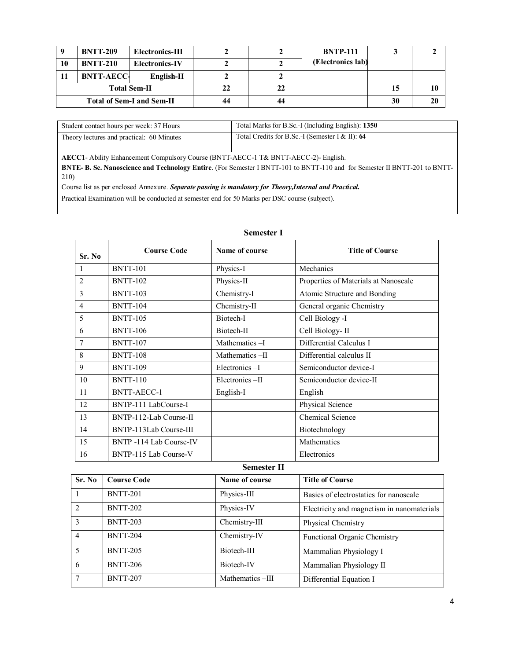|                                  | <b>BNTT-209</b>   | Electronics-III       |    |    | <b>BNTP-111</b>   |    |
|----------------------------------|-------------------|-----------------------|----|----|-------------------|----|
| 10                               | <b>BNTT-210</b>   | <b>Electronics-IV</b> |    |    | (Electronics lab) |    |
|                                  | <b>BNTT-AECC-</b> | English-II            |    |    |                   |    |
| <b>Total Sem-II</b>              |                   | 22                    | 22 |    | 10                |    |
| <b>Total of Sem-I and Sem-II</b> |                   |                       | 44 | 44 |                   | 20 |

| Student contact hours per week: 37 Hours  | Total Marks for B.Sc.-I (Including English): 1350 |
|-------------------------------------------|---------------------------------------------------|
| Theory lectures and practical: 60 Minutes | Total Credits for B.Sc.-I (Semester I & II): 64   |

**AECC1**- Ability Enhancement Compulsory Course (BNTT-AECC-1 T& BNTT-AECC-2)- English. **BNTE- B. Sc. Nanoscience and Technology Entire**. (For Semester I BNTT-101 to BNTT-110 and for Semester II BNTT-201 to BNTT-210)

Course list as per enclosed Annexure. *Separate passing is mandatory for Theory,Internal and Practical.*

Practical Examination will be conducted at semester end for 50 Marks per DSC course (subject).

| <b>Semester I</b> |                         |                |                                      |  |  |
|-------------------|-------------------------|----------------|--------------------------------------|--|--|
| Sr. No            | <b>Course Code</b>      | Name of course | <b>Title of Course</b>               |  |  |
| 1                 | <b>BNTT-101</b>         | Physics-I      | Mechanics                            |  |  |
| $\overline{2}$    | <b>BNTT-102</b>         | Physics-II     | Properties of Materials at Nanoscale |  |  |
| 3                 | <b>BNTT-103</b>         | Chemistry-I    | Atomic Structure and Bonding         |  |  |
| 4                 | <b>BNTT-104</b>         | Chemistry-II   | General organic Chemistry            |  |  |
| 5                 | <b>BNTT-105</b>         | Biotech-I      | Cell Biology -I                      |  |  |
| 6                 | <b>BNTT-106</b>         | Biotech-II     | Cell Biology-II                      |  |  |
| 7                 | <b>BNTT-107</b>         | Mathematics -I | Differential Calculus I              |  |  |
| 8                 | <b>BNTT-108</b>         | Mathematics-II | Differential calculus II             |  |  |
| 9                 | <b>BNTT-109</b>         | Electronics-I  | Semiconductor device-I               |  |  |
| 10                | <b>BNTT-110</b>         | Electronics-II | Semiconductor device-II              |  |  |
| 11                | <b>BNTT-AECC-1</b>      | English-I      | English                              |  |  |
| 12                | BNTP-111 LabCourse-I    |                | Physical Science                     |  |  |
| 13                | BNTP-112-Lab Course-II  |                | Chemical Science                     |  |  |
| 14                | BNTP-113Lab Course-III  |                | Biotechnology                        |  |  |
| 15                | BNTP -114 Lab Course-IV |                | Mathematics                          |  |  |
| 16                | BNTP-115 Lab Course-V   |                | Electronics                          |  |  |

**Semester II**

| Sr. No         | <b>Course Code</b> | Name of course  | <b>Title of Course</b>                     |
|----------------|--------------------|-----------------|--------------------------------------------|
|                | <b>BNTT-201</b>    | Physics-III     | Basics of electrostatics for nanoscale     |
| $\overline{2}$ | <b>BNTT-202</b>    | Physics-IV      | Electricity and magnetism in nanomaterials |
| 3              | <b>BNTT-203</b>    | Chemistry-III   | Physical Chemistry                         |
| 4              | <b>BNTT-204</b>    | Chemistry-IV    | Functional Organic Chemistry               |
| 5              | <b>BNTT-205</b>    | Biotech-III     | Mammalian Physiology I                     |
| 6              | <b>BNTT-206</b>    | Biotech-IV      | Mammalian Physiology II                    |
|                | <b>BNTT-207</b>    | Mathematics-III | Differential Equation I                    |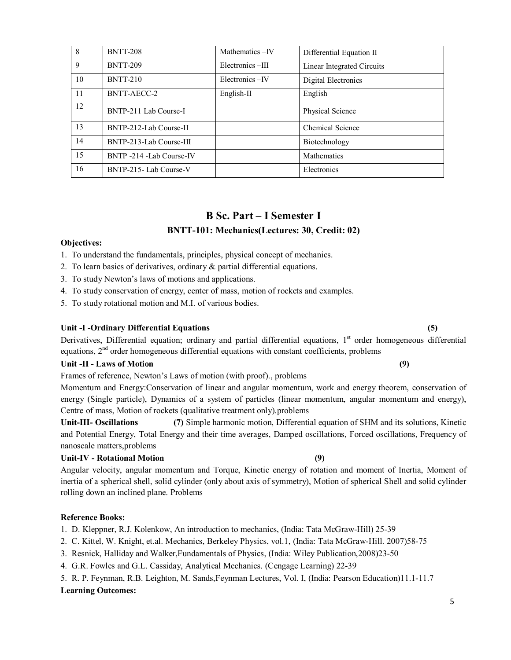| 8  | <b>BNTT-208</b>          | Mathematics-IV  | Differential Equation II   |
|----|--------------------------|-----------------|----------------------------|
| 9  | <b>BNTT-209</b>          | Electronics-III | Linear Integrated Circuits |
| 10 | <b>BNTT-210</b>          | Electronics-IV  | Digital Electronics        |
| 11 | BNTT-AECC-2              | $English-II$    | English                    |
| 12 | BNTP-211 Lab Course-I    |                 | Physical Science           |
| 13 | BNTP-212-Lab Course-II   |                 | <b>Chemical Science</b>    |
| 14 | BNTP-213-Lab Course-III  |                 | Biotechnology              |
| 15 | BNTP -214 -Lab Course-IV |                 | Mathematics                |
| 16 | BNTP-215-Lab Course-V    |                 | Electronics                |

## **B Sc. Part – I Semester I BNTT-101: Mechanics(Lectures: 30, Credit: 02)**

## **Objectives:**

- 1. To understand the fundamentals, principles, physical concept of mechanics.
- 2. To learn basics of derivatives, ordinary & partial differential equations.
- 3. To study Newton's laws of motions and applications.
- 4. To study conservation of energy, center of mass, motion of rockets and examples.
- 5. To study rotational motion and M.I. of various bodies.

## **Unit -I -Ordinary Differential Equations (5)**

Derivatives, Differential equation; ordinary and partial differential equations,  $1<sup>st</sup>$  order homogeneous differential equations,  $2<sup>nd</sup>$  order homogeneous differential equations with constant coefficients, problems

## **Unit -II - Laws of Motion (9)**

Frames of reference, Newton's Laws of motion (with proof)., problems

Momentum and Energy:Conservation of linear and angular momentum, work and energy theorem, conservation of energy (Single particle), Dynamics of a system of particles (linear momentum, angular momentum and energy), Centre of mass, Motion of rockets (qualitative treatment only).problems

**Unit-III- Oscillations (7)** Simple harmonic motion, Differential equation of SHM and its solutions, Kinetic and Potential Energy, Total Energy and their time averages, Damped oscillations, Forced oscillations, Frequency of nanoscale matters,problems

## **Unit-IV - Rotational Motion (9)**

Angular velocity, angular momentum and Torque, Kinetic energy of rotation and moment of Inertia, Moment of inertia of a spherical shell, solid cylinder (only about axis of symmetry), Motion of spherical Shell and solid cylinder rolling down an inclined plane. Problems

### **Reference Books:**

- 1. D. Kleppner, R.J. Kolenkow, An introduction to mechanics, (India: Tata McGraw-Hill) 25-39
- 2. C. Kittel, W. Knight, et.al. Mechanics, Berkeley Physics, vol.1, (India: Tata McGraw-Hill. 2007)58-75
- 3. Resnick, Halliday and Walker,Fundamentals of Physics, (India: Wiley Publication,2008)23-50
- 4. G.R. Fowles and G.L. Cassiday, Analytical Mechanics. (Cengage Learning) 22-39
- 5. R. P. Feynman, R.B. Leighton, M. Sands,Feynman Lectures, Vol. I, (India: Pearson Education)11.1-11.7

### **Learning Outcomes:**

## 5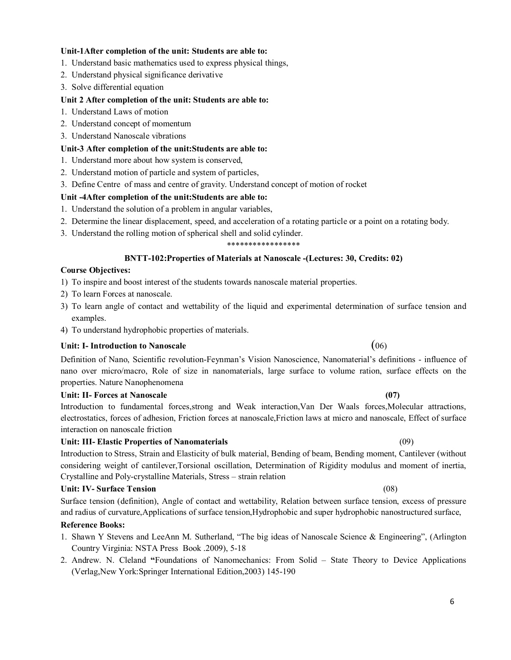## **Unit-1After completion of the unit: Students are able to:**

- 1. Understand basic mathematics used to express physical things,
- 2. Understand physical significance derivative
- 3. Solve differential equation

## **Unit 2 After completion of the unit: Students are able to:**

- 1. Understand Laws of motion
- 2. Understand concept of momentum
- 3. Understand Nanoscale vibrations

## **Unit-3 After completion of the unit:Students are able to:**

- 1. Understand more about how system is conserved,
- 2. Understand motion of particle and system of particles,
- 3. Define Centre of mass and centre of gravity. Understand concept of motion of rocket

## **Unit -4After completion of the unit:Students are able to:**

- 1. Understand the solution of a problem in angular variables,
- 2. Determine the linear displacement, speed, and acceleration of a rotating particle or a point on a rotating body.
- 3. Understand the rolling motion of spherical shell and solid cylinder.

### \*\*\*\*\*\*\*\*\*\*\*\*\*\*\*\*\*

## **BNTT-102:Properties of Materials at Nanoscale -(Lectures: 30, Credits: 02)**

## **Course Objectives:**

- 1) To inspire and boost interest of the students towards nanoscale material properties.
- 2) To learn Forces at nanoscale.
- 3) To learn angle of contact and wettability of the liquid and experimental determination of surface tension and examples.
- 4) To understand hydrophobic properties of materials.

## **Unit: I- Introduction to Nanoscale** (06)

Definition of Nano, Scientific revolution-Feynman's Vision Nanoscience, Nanomaterial's definitions - influence of nano over micro/macro, Role of size in nanomaterials, large surface to volume ration, surface effects on the properties. Nature Nanophenomena

### **Unit: II- Forces at Nanoscale (07)**

Introduction to fundamental forces,strong and Weak interaction,Van Der Waals forces,Molecular attractions, electrostatics, forces of adhesion, Friction forces at nanoscale,Friction laws at micro and nanoscale, Effect of surface interaction on nanoscale friction

## **Unit: III- Elastic Properties of Nanomaterials** (09)

Introduction to Stress, Strain and Elasticity of bulk material, Bending of beam, Bending moment, Cantilever (without considering weight of cantilever,Torsional oscillation, Determination of Rigidity modulus and moment of inertia, Crystalline and Poly-crystalline Materials, Stress – strain relation

## **Unit: IV- Surface Tension** (08)

Surface tension (definition), Angle of contact and wettability, Relation between surface tension, excess of pressure and radius of curvature,Applications of surface tension,Hydrophobic and super hydrophobic nanostructured surface,

## **Reference Books:**

- 1. Shawn Y Stevens and LeeAnn M. Sutherland, "The big ideas of Nanoscale Science & Engineering", (Arlington Country Virginia: NSTA Press Book .2009), 5-18
- 2. Andrew. N. Cleland **"**Foundations of Nanomechanics: From Solid State Theory to Device Applications (Verlag,New York:Springer International Edition,2003) 145-190

## 6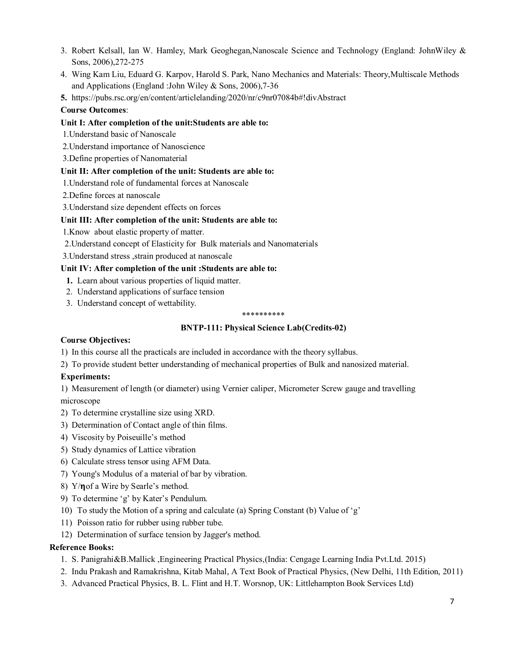- 3. Robert Kelsall, Ian W. Hamley, Mark Geoghegan,Nanoscale Science and Technology (England: JohnWiley & Sons, 2006),272-275
- 4. Wing Kam Liu, Eduard G. Karpov, Harold S. Park, Nano Mechanics and Materials: Theory,Multiscale Methods and Applications (England :John Wiley & Sons, 2006),7-36
- **5.** <https://pubs.rsc.org/en/content/articlelanding/2020/nr/c9nr07084b#!divAbstract>

## **Course Outcomes**:

## **Unit I: After completion of the unit:Students are able to:**

- 1.Understand basic of Nanoscale
- 2.Understand importance of Nanoscience
- 3.Define properties of Nanomaterial

## **Unit II: After completion of the unit: Students are able to:**

- 1.Understand role of fundamental forces at Nanoscale
- 2.Define forces at nanoscale
- 3.Understand size dependent effects on forces

## **Unit III: After completion of the unit: Students are able to:**

1.Know about elastic property of matter.

2.Understand concept of Elasticity for Bulk materials and Nanomaterials

3.Understand stress ,strain produced at nanoscale

## **Unit IV: After completion of the unit :Students are able to:**

- **1.** Learn about various properties of liquid matter.
- 2. Understand applications of surface tension
- 3. Understand concept of wettability.

### \*\*\*\*\*\*\*\*\*\*

## **BNTP-111: Physical Science Lab(Credits-02)**

## **Course Objectives:**

1) In this course all the practicals are included in accordance with the theory syllabus.

2) To provide student better understanding of mechanical properties of Bulk and nanosized material.

## **Experiments:**

1) Measurement of length (or diameter) using Vernier caliper, Micrometer Screw gauge and travelling microscope

- 2) To determine crystalline size using XRD.
- 3) Determination of Contact angle of thin films.
- 4) Viscosity by Poiseuille's method
- 5) Study dynamics of Lattice vibration
- 6) Calculate stress tensor using AFM Data.
- 7) Young's Modulus of a material of bar by vibration.
- 8) Y/n of a Wire by Searle's method.
- 9) To determine 'g' by Kater's Pendulum.
- 10) To study the Motion of a spring and calculate (a) Spring Constant (b) Value of 'g'
- 11) Poisson ratio for rubber using rubber tube.
- 12) Determination of surface tension by Jagger's method.

## **Reference Books:**

- 1. S. Panigrahi&B.Mallick ,Engineering Practical Physics,(India: Cengage Learning India Pvt.Ltd. 2015)
- 2. Indu Prakash and Ramakrishna, Kitab Mahal, A Text Book of Practical Physics, (New Delhi, 11th Edition, 2011)
- 3. Advanced Practical Physics, B. L. Flint and H.T. Worsnop, UK: Littlehampton Book Services Ltd)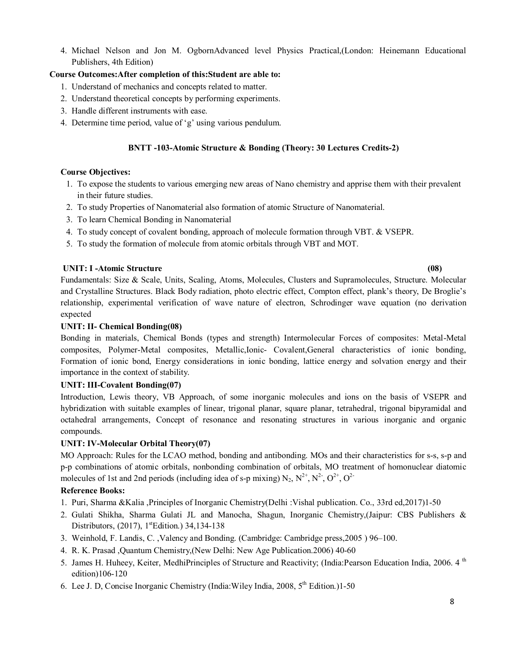4. Michael Nelson and Jon M. OgbornAdvanced level Physics Practical,(London: Heinemann Educational Publishers, 4th Edition)

## **Course Outcomes:After completion of this:Student are able to:**

- 1. Understand of mechanics and concepts related to matter.
- 2. Understand theoretical concepts by performing experiments.
- 3. Handle different instruments with ease.
- 4. Determine time period, value of 'g' using various pendulum.

## **BNTT -103-Atomic Structure & Bonding (Theory: 30 Lectures Credits-2)**

## **Course Objectives:**

- 1. To expose the students to various emerging new areas of Nano chemistry and apprise them with their prevalent in their future studies.
- 2. To study Properties of Nanomaterial also formation of atomic Structure of Nanomaterial.
- 3. To learn Chemical Bonding in Nanomaterial
- 4. To study concept of covalent bonding, approach of molecule formation through VBT. & VSEPR.
- 5. To study the formation of molecule from atomic orbitals through VBT and MOT.

## **UNIT: I -Atomic Structure (08)**

Fundamentals: Size & Scale, Units, Scaling, Atoms, Molecules, Clusters and Supramolecules, Structure. Molecular and Crystalline Structures. Black Body radiation, photo electric effect, Compton effect, plank's theory, De Broglie's relationship, experimental verification of wave nature of electron, Schrodinger wave equation (no derivation expected

## **UNIT: II- Chemical Bonding(08)**

Bonding in materials, Chemical Bonds (types and strength) Intermolecular Forces of composites: Metal-Metal composites, Polymer-Metal composites, Metallic,Ionic- Covalent,General characteristics of ionic bonding, Formation of ionic bond, Energy considerations in ionic bonding, lattice energy and solvation energy and their importance in the context of stability.

## **UNIT: III-Covalent Bonding(07)**

Introduction, Lewis theory, VB Approach, of some inorganic molecules and ions on the basis of VSEPR and hybridization with suitable examples of linear, trigonal planar, square planar, tetrahedral, trigonal bipyramidal and octahedral arrangements, Concept of resonance and resonating structures in various inorganic and organic compounds.

## **UNIT: IV-Molecular Orbital Theory(07)**

MO Approach: Rules for the LCAO method, bonding and antibonding. MOs and their characteristics for s-s, s-p and p-p combinations of atomic orbitals, nonbonding combination of orbitals, MO treatment of homonuclear diatomic molecules of 1st and 2nd periods (including idea of s-p mixing)  $N_2$ ,  $N^{2+}$ ,  $N^{2-}$ ,  $O^{2+}$ ,  $O^{2+}$ 

## **Reference Books:**

- 1. Puri, Sharma &Kalia ,Principles of Inorganic Chemistry(Delhi :Vishal publication. Co., 33rd ed,2017)1-50
- 2. Gulati Shikha, Sharma Gulati JL and Manocha, Shagun, Inorganic Chemistry,(Jaipur: CBS Publishers & Distributors, (2017), 1<sup>st</sup>Edition.) 34,134-138
- 3. Weinhold, F. Landis, C. ,Valency and Bonding. (Cambridge: Cambridge press,2005 ) 96–100.
- 4. R. K. Prasad ,Quantum Chemistry,(New Delhi: New Age Publication.2006) 40-60
- 5. James H. Huheey, Keiter, MedhiPrinciples of Structure and Reactivity; (India:Pearson Education India, 2006. 4 <sup>th</sup> edition)106-120
- 6. Lee J. D, Concise Inorganic Chemistry (India: Wiley India,  $2008$ ,  $5<sup>th</sup>$  Edition.)1-50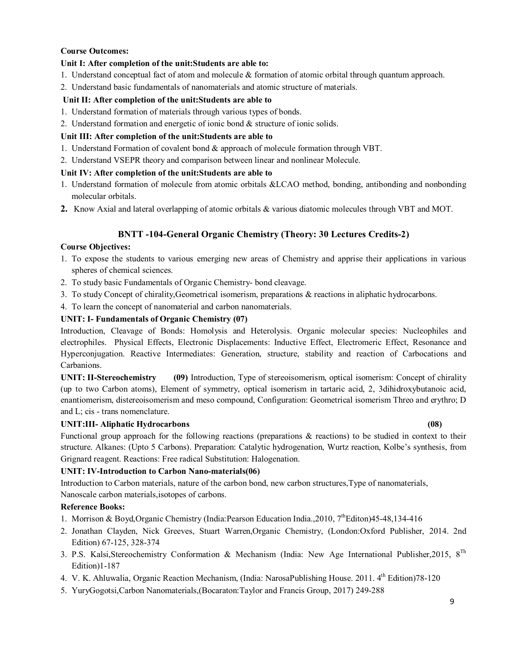## **Course Outcomes:**

## **Unit I: After completion of the unit:Students are able to:**

- 1. Understand conceptual fact of atom and molecule & formation of atomic orbital through quantum approach.
- 2. Understand basic fundamentals of nanomaterials and atomic structure of materials.

## **Unit II: After completion of the unit:Students are able to**

- 1. Understand formation of materials through various types of bonds.
- 2. Understand formation and energetic of ionic bond & structure of ionic solids.

## **Unit III: After completion of the unit:Students are able to**

- 1. Understand Formation of covalent bond & approach of molecule formation through VBT.
- 2. Understand VSEPR theory and comparison between linear and nonlinear Molecule.

## **Unit IV: After completion of the unit:Students are able to**

- 1. Understand formation of molecule from atomic orbitals &LCAO method, bonding, antibonding and nonbonding molecular orbitals.
- **2.** Know Axial and lateral overlapping of atomic orbitals & various diatomic molecules through VBT and MOT.

## **BNTT -104-General Organic Chemistry (Theory: 30 Lectures Credits-2)**

## **Course Objectives:**

- 1. To expose the students to various emerging new areas of Chemistry and apprise their applications in various spheres of chemical sciences.
- 2. To study basic Fundamentals of Organic Chemistry- bond cleavage.
- 3. To study Concept of chirality,Geometrical isomerism, preparations & reactions in aliphatic hydrocarbons.
- 4. To learn the concept of nanomaterial and carbon nanomaterials.

## **UNIT: I- Fundamentals of Organic Chemistry (07)**

Introduction, Cleavage of Bonds: Homolysis and Heterolysis. Organic molecular species: Nucleophiles and electrophiles. Physical Effects, Electronic Displacements: Inductive Effect, Electromeric Effect, Resonance and Hyperconjugation. Reactive Intermediates: Generation, structure, stability and reaction of Carbocations and Carbanions.

**UNIT: II-Stereochemistry (09)** Introduction, Type of stereoisomerism, optical isomerism: Concept of chirality (up to two Carbon atoms), Element of symmetry, optical isomerism in tartaric acid, 2, 3dihidroxybutanoic acid, enantiomerism, distereoisomerism and meso compound, Configuration: Geometrical isomerism Threo and erythro; D and L; cis - trans nomenclature.

## **UNIT:III- Aliphatic Hydrocarbons (08)**

Functional group approach for the following reactions (preparations & reactions) to be studied in context to their structure. Alkanes: (Upto 5 Carbons). Preparation: Catalytic hydrogenation, Wurtz reaction, Kolbe's synthesis, from Grignard reagent. Reactions: Free radical Substitution: Halogenation.

## **UNIT: IV-Introduction to Carbon Nano-materials(06)**

Introduction to Carbon materials, nature of the carbon bond, new carbon structures,Type of nanomaterials, Nanoscale carbon materials,isotopes of carbons.

## **Reference Books:**

- 1. Morrison & Boyd, Organic Chemistry (India: Pearson Education India., 2010, 7<sup>th</sup>Editon)45-48,134-416
- 2. Jonathan Clayden, Nick Greeves, Stuart Warren,Organic Chemistry, (London:Oxford Publisher, 2014. 2nd Edition) 67-125, 328-374
- 3. P.S. Kalsi,Stereochemistry Conformation & Mechanism (India: New Age International Publisher,2015, 8Th Edition)1-187
- 4. V. K. Ahluwalia, Organic Reaction Mechanism, (India: NarosaPublishing House. 2011. 4<sup>th</sup> Edition)78-120
- 5. YuryGogotsi,Carbon Nanomaterials,(Bocaraton:Taylor and Francis Group, 2017) 249-288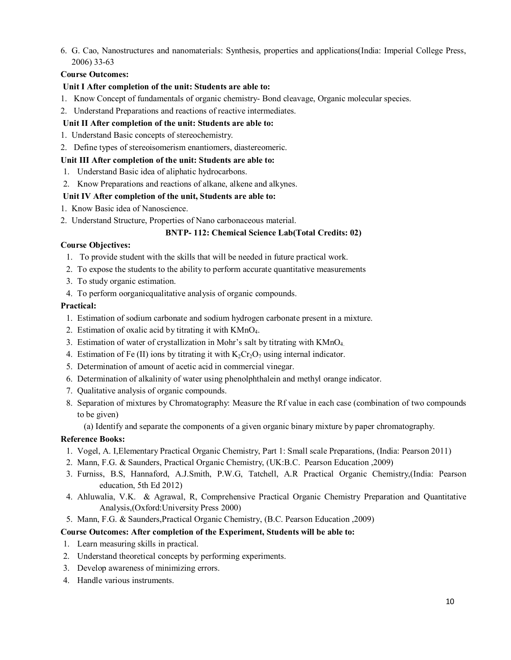6. G. Cao, Nanostructures and nanomaterials: Synthesis, properties and applications(India: Imperial College Press, 2006) 33-63

## **Course Outcomes:**

## **Unit I After completion of the unit: Students are able to:**

- 1. Know Concept of fundamentals of organic chemistry- Bond cleavage, Organic molecular species.
- 2. Understand Preparations and reactions of reactive intermediates.
- **Unit II After completion of the unit: Students are able to:**
- 1. Understand Basic concepts of stereochemistry.
- 2. Define types of stereoisomerism enantiomers, diastereomeric.

## **Unit III After completion of the unit: Students are able to:**

- 1. Understand Basic idea of aliphatic hydrocarbons.
- 2. Know Preparations and reactions of alkane, alkene and alkynes.

## **Unit IV After completion of the unit, Students are able to:**

- 1. Know Basic idea of Nanoscience.
- 2. Understand Structure, Properties of Nano carbonaceous material.

## **BNTP- 112: Chemical Science Lab(Total Credits: 02)**

## **Course Objectives:**

- 1. To provide student with the skills that will be needed in future practical work.
- 2. To expose the students to the ability to perform accurate quantitative measurements
- 3. To study organic estimation.
- 4. To perform oorganicqualitative analysis of organic compounds.

## **Practical:**

- 1. Estimation of sodium carbonate and sodium hydrogen carbonate present in a mixture.
- 2. Estimation of oxalic acid by titrating it with KMnO<sub>4</sub>.
- 3. Estimation of water of crystallization in Mohr's salt by titrating with KMnO<sub>4.</sub>
- 4. Estimation of Fe (II) ions by titrating it with  $K_2Cr_2O_7$  using internal indicator.
- 5. Determination of amount of acetic acid in commercial vinegar.
- 6. Determination of alkalinity of water using phenolphthalein and methyl orange indicator.
- 7. Qualitative analysis of organic compounds.
- 8. Separation of mixtures by Chromatography: Measure the Rf value in each case (combination of two compounds to be given)

(a) Identify and separate the components of a given organic binary mixture by paper chromatography.

## **Reference Books:**

- 1. Vogel, A. I,Elementary Practical Organic Chemistry, Part 1: Small scale Preparations, (India: Pearson 2011)
- 2. Mann, F.G. & Saunders, Practical Organic Chemistry, (UK:B.C. Pearson Education ,2009)
- 3. Furniss, B.S, Hannaford, A.J.Smith, P.W.G, Tatchell, A.R Practical Organic Chemistry,(India: Pearson education, 5th Ed 2012)
- 4. Ahluwalia, V.K. & Agrawal, R, Comprehensive Practical Organic Chemistry Preparation and Quantitative Analysis,(Oxford:University Press 2000)
- 5. Mann, F.G. & Saunders,Practical Organic Chemistry, (B.C. Pearson Education ,2009)

### **Course Outcomes: After completion of the Experiment, Students will be able to:**

- 1. Learn measuring skills in practical.
- 2. Understand theoretical concepts by performing experiments.
- 3. Develop awareness of minimizing errors.
- 4. Handle various instruments.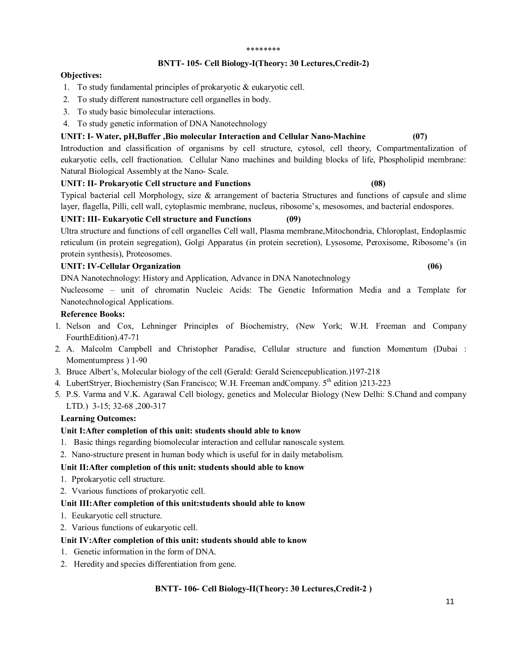#### \*\*\*\*\*\*\*\*

### **BNTT- 105- Cell Biology-I(Theory: 30 Lectures,Credit-2)**

#### **Objectives:**

- 1. To study fundamental principles of prokaryotic & eukaryotic cell.
- 2. To study different nanostructure cell organelles in body.
- 3. To study basic bimolecular interactions.
- 4. To study genetic information of DNA Nanotechnology

## **UNIT: I- Water, pH,Buffer ,Bio molecular Interaction and Cellular Nano-Machine (07)**

Introduction and classification of organisms by cell structure, cytosol, cell theory, Compartmentalization of eukaryotic cells, cell fractionation. Cellular Nano machines and building blocks of life, Phospholipid membrane: Natural Biological Assembly at the Nano- Scale.

## **UNIT: II- Prokaryotic Cell structure and Functions (08)**

Typical bacterial cell Morphology, size & arrangement of bacteria Structures and functions of capsule and slime layer, flagella, Pilli, cell wall, cytoplasmic membrane, nucleus, ribosome's, mesosomes, and bacterial endospores.

## **UNIT: III- Eukaryotic Cell structure and Functions (09)**

Ultra structure and functions of cell organelles Cell wall, Plasma membrane,Mitochondria, Chloroplast, Endoplasmic reticulum (in protein segregation), Golgi Apparatus (in protein secretion), Lysosome, Peroxisome, Ribosome's (in protein synthesis), Proteosomes.

## **UNIT: IV-Cellular Organization (06)**

DNA Nanotechnology: History and Application, Advance in DNA Nanotechnology

Nucleosome – unit of chromatin Nucleic Acids: The Genetic Information Media and a Template for Nanotechnological Applications.

## **Reference Books:**

- 1. Nelson and Cox, Lehninger Principles of Biochemistry, (New York; W.H. Freeman and Company FourthEdition).47-71
- 2. A. Malcolm Campbell and Christopher Paradise, Cellular structure and function Momentum (Dubai : Momentumpress ) 1-90
- 3. Bruce Albert's, Molecular biology of the cell (Gerald: Gerald Sciencepublication.)197-218
- 4. LubertStryer, Biochemistry (San Francisco; W.H. Freeman andCompany. 5<sup>th</sup> edition )213-223
- 5. P.S. Varma and V.K. Agarawal Cell biology, genetics and Molecular Biology (New Delhi: S.Chand and company LTD.) 3-15; 32-68 ,200-317

### **Learning Outcomes:**

### **Unit I:After completion of this unit: students should able to know**

- 1. Basic things regarding biomolecular interaction and cellular nanoscale system.
- 2. Nano-structure present in human body which is useful for in daily metabolism.

## **Unit II:After completion of this unit: students should able to know**

- 1. Pprokaryotic cell structure.
- 2. Vvarious functions of prokaryotic cell.

### **Unit III:After completion of this unit:students should able to know**

- 1. Eeukaryotic cell structure.
- 2. Various functions of eukaryotic cell.

### **Unit IV:After completion of this unit: students should able to know**

- 1. Genetic information in the form of DNA.
- 2. Heredity and species differentiation from gene.

## **BNTT- 106- Cell Biology-II(Theory: 30 Lectures,Credit-2 )**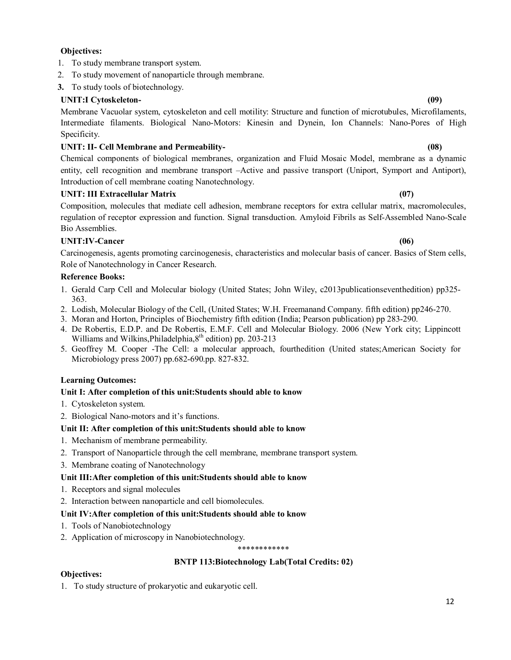## 12

## **Objectives:**

- 1. To study membrane transport system.
- 2. To study movement of nanoparticle through membrane.
- **3.** To study tools of biotechnology.

## **UNIT:I Cytoskeleton- (09)**

Membrane Vacuolar system, cytoskeleton and cell motility: Structure and function of microtubules, Microfilaments, Intermediate filaments. Biological Nano-Motors: Kinesin and Dynein, Ion Channels: Nano-Pores of High Specificity.

## **UNIT: II- Cell Membrane and Permeability- (08)**

Chemical components of biological membranes, organization and Fluid Mosaic Model, membrane as a dynamic entity, cell recognition and membrane transport –Active and passive transport (Uniport, Symport and Antiport), Introduction of cell membrane coating Nanotechnology.

## **UNIT: III Extracellular Matrix (07)**

Composition, molecules that mediate cell adhesion, membrane receptors for extra cellular matrix, macromolecules, regulation of receptor expression and function. Signal transduction. Amyloid Fibrils as Self-Assembled Nano-Scale Bio Assemblies.

## **UNIT:IV-Cancer (06)**

Carcinogenesis, agents promoting carcinogenesis, characteristics and molecular basis of cancer. Basics of Stem cells, Role of Nanotechnology in Cancer Research.

## **Reference Books:**

- 1. Gerald Carp Cell and Molecular biology (United States; John Wiley, c2013publicationseventhedition) pp325- 363.
- 2. Lodish, Molecular Biology of the Cell, (United States; W.H. Freemanand Company. fifth edition) pp246-270.
- 3. Moran and Horton, Principles of Biochemistry fifth edition (India; Pearson publication) pp 283-290.
- 4. De Robertis, E.D.P. and De Robertis, E.M.F. Cell and Molecular Biology. 2006 (New York city; Lippincott Williams and Wilkins, Philadelphia, 8<sup>th</sup> edition) pp. 203-213
- 5. Geoffrey M. Cooper -The Cell: a molecular approach, fourthedition (United states;American Society for Microbiology press 2007) pp.682-690.pp. 827-832.

## **Learning Outcomes:**

## **Unit I: After completion of this unit:Students should able to know**

- 1. Cytoskeleton system.
- 2. Biological Nano-motors and it's functions.

## **Unit II: After completion of this unit:Students should able to know**

- 1. Mechanism of membrane permeability.
- 2. Transport of Nanoparticle through the cell membrane, membrane transport system.
- 3. Membrane coating of Nanotechnology

## **Unit III:After completion of this unit:Students should able to know**

- 1. Receptors and signal molecules
- 2. Interaction between nanoparticle and cell biomolecules.

## **Unit IV:After completion of this unit:Students should able to know**

- 1. Tools of Nanobiotechnology
- 2. Application of microscopy in Nanobiotechnology.

\*\*\*\*\*\*\*\*\*\*\*\*

## **BNTP 113:Biotechnology Lab(Total Credits: 02)**

## **Objectives:**

1. To study structure of prokaryotic and eukaryotic cell.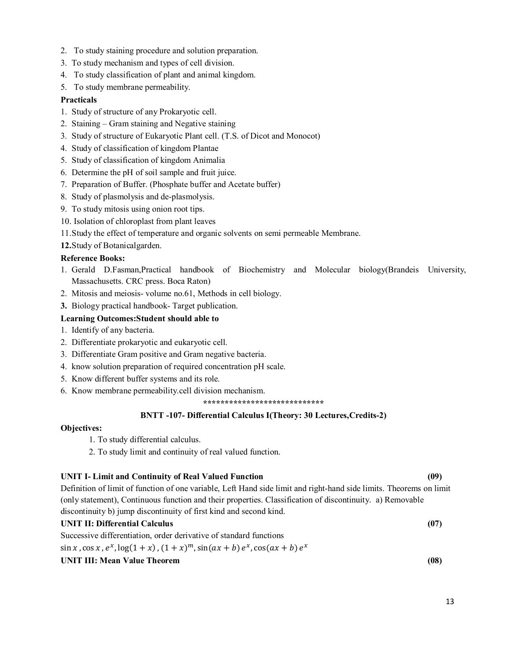- 2. To study staining procedure and solution preparation.
- 3. To study mechanism and types of cell division.
- 4. To study classification of plant and animal kingdom.
- 5. To study membrane permeability.

## **Practicals**

- 1. Study of structure of any Prokaryotic cell.
- 2. Staining Gram staining and Negative staining
- 3. Study of structure of Eukaryotic Plant cell. (T.S. of Dicot and Monocot)
- 4. Study of classification of kingdom Plantae
- 5. Study of classification of kingdom Animalia
- 6. Determine the pH of soil sample and fruit juice.
- 7. Preparation of Buffer. (Phosphate buffer and Acetate buffer)
- 8. Study of plasmolysis and de-plasmolysis.
- 9. To study mitosis using onion root tips.
- 10. Isolation of chloroplast from plant leaves
- 11.Study the effect of temperature and organic solvents on semi permeable Membrane.
- **12.**Study of Botanicalgarden.

### **Reference Books:**

- 1. Gerald D.Fasman,Practical handbook of Biochemistry and Molecular biology(Brandeis University, Massachusetts. CRC press. Boca Raton)
- 2. Mitosis and meiosis- volume no.61, Methods in cell biology.
- **3.** Biology practical handbook- Target publication.

## **Learning Outcomes:Student should able to**

- 1. Identify of any bacteria.
- 2. Differentiate prokaryotic and eukaryotic cell.
- 3. Differentiate Gram positive and Gram negative bacteria.
- 4. know solution preparation of required concentration pH scale.
- 5. Know different buffer systems and its role.
- 6. Know membrane permeability.cell division mechanism.

**\*\*\*\*\*\*\*\*\*\*\*\*\*\*\*\*\*\*\*\*\*\*\*\*\*\*\*\***

### **BNTT -107- Differential Calculus I(Theory: 30 Lectures,Credits-2)**

### **Objectives:**

- 1. To study differential calculus.
- 2. To study limit and continuity of real valued function.

## **UNIT I- Limit and Continuity of Real Valued Function (09)**

Definition of limit of function of one variable, Left Hand side limit and right-hand side limits. Theorems on limit (only statement), Continuous function and their properties. Classification of discontinuity. a) Removable discontinuity b) jump discontinuity of first kind and second kind.

## **UNIT II: Differential Calculus (07)**

Successive differentiation, order derivative of standard functions

 $\sin x$ ,  $\cos x$ ,  $e^x$ ,  $\log(1+x)$ ,  $(1+x)^m$ ,  $\sin(ax+b) e^x$ ,  $\cos(ax+b) e^x$ 

## **UNIT III: Mean Value Theorem (08)**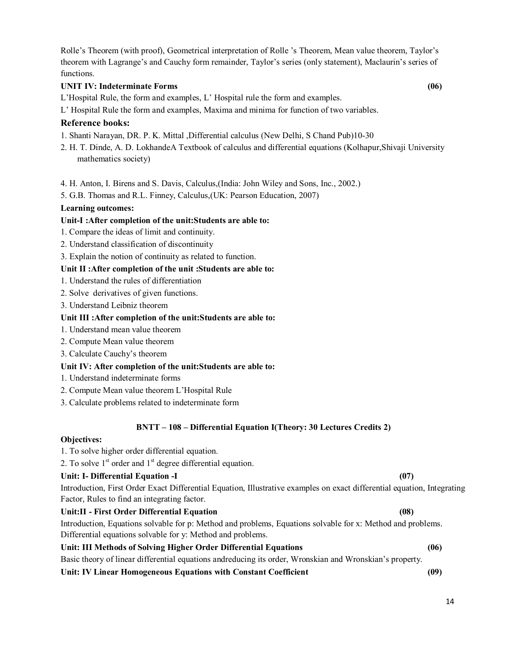Rolle's Theorem (with proof), Geometrical interpretation of Rolle 's Theorem, Mean value theorem, Taylor's theorem with Lagrange's and Cauchy form remainder, Taylor's series (only statement), Maclaurin's series of functions.

## **UNIT IV: Indeterminate Forms (06)**

L'Hospital Rule, the form and examples, L' Hospital rule the form and examples.

L' Hospital Rule the form and examples, Maxima and minima for function of two variables.

## **Reference books:**

1. Shanti Narayan, DR. P. K. Mittal ,Differential calculus (New Delhi, S Chand Pub)10-30

- 2. H. T. Dinde, A. D. LokhandeA Textbook of calculus and differential equations (Kolhapur,Shivaji University mathematics society)
- 4. H. Anton, I. Birens and S. Davis, Calculus,(India: John Wiley and Sons, Inc., 2002.)
- 5. G.B. Thomas and R.L. Finney, Calculus,(UK: Pearson Education, 2007)

### **Learning outcomes:**

### **Unit-I :After completion of the unit:Students are able to:**

- 1. Compare the ideas of limit and continuity.
- 2. Understand classification of discontinuity
- 3. Explain the notion of continuity as related to function.

## **Unit II :After completion of the unit :Students are able to:**

- 1. Understand the rules of differentiation
- 2. Solve derivatives of given functions.
- 3. Understand Leibniz theorem

### **Unit III :After completion of the unit:Students are able to:**

- 1. Understand mean value theorem
- 2. Compute Mean value theorem
- 3. Calculate Cauchy's theorem

### **Unit IV: After completion of the unit:Students are able to:**

- 1. Understand indeterminate forms
- 2. Compute Mean value theorem L'Hospital Rule
- 3. Calculate problems related to indeterminate form

### **BNTT – 108 – Differential Equation I(Theory: 30 Lectures Credits 2)**

## **Objectives:**

1. To solve higher order differential equation.

2. To solve  $1<sup>st</sup>$  order and  $1<sup>st</sup>$  degree differential equation.

### **Unit: I- Differential Equation -I (07)**

Introduction, First Order Exact Differential Equation, Illustrative examples on exact differential equation, Integrating Factor, Rules to find an integrating factor.

## **Unit:II - First Order Differential Equation (08)**  Introduction, Equations solvable for p: Method and problems, Equations solvable for x: Method and problems. Differential equations solvable for y: Method and problems.

## **Unit: III Methods of Solving Higher Order Differential Equations (06)**

Basic theory of linear differential equations andreducing its order, Wronskian and Wronskian's property.

## **Unit: IV Linear Homogeneous Equations with Constant Coefficient (09)**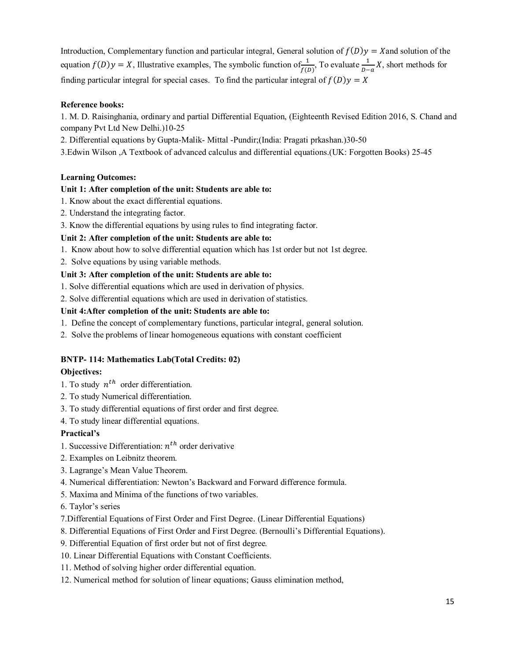Introduction, Complementary function and particular integral, General solution of  $f(D)y = X$ and solution of the equation  $f(D)y = X$ , Illustrative examples, The symbolic function of  $\frac{1}{f(D)}$ , To evaluate  $\frac{1}{D-a}X$ , short methods for finding particular integral for special cases. To find the particular integral of  $f(D)y = X$ 

## **Reference books:**

1. M. D. Raisinghania, ordinary and partial Differential Equation, (Eighteenth Revised Edition 2016, S. Chand and company Pvt Ltd New Delhi.)10-25

2. Differential equations by Gupta-Malik- Mittal -Pundir;(India: Pragati prkashan.)30-50

3.Edwin Wilson ,A Textbook of advanced calculus and differential equations.(UK: Forgotten Books) 25-45

## **Learning Outcomes:**

## **Unit 1: After completion of the unit: Students are able to:**

- 1. Know about the exact differential equations.
- 2. Understand the integrating factor.
- 3. Know the differential equations by using rules to find integrating factor.

## **Unit 2: After completion of the unit: Students are able to:**

- 1. Know about how to solve differential equation which has 1st order but not 1st degree.
- 2. Solve equations by using variable methods.

## **Unit 3: After completion of the unit: Students are able to:**

- 1. Solve differential equations which are used in derivation of physics.
- 2. Solve differential equations which are used in derivation of statistics.

## **Unit 4:After completion of the unit: Students are able to:**

- 1. Define the concept of complementary functions, particular integral, general solution.
- 2. Solve the problems of linear homogeneous equations with constant coefficient

## **BNTP- 114: Mathematics Lab(Total Credits: 02)**

## **Objectives:**

- 1. To study  $n^{th}$  order differentiation.
- 2. To study Numerical differentiation.
- 3. To study differential equations of first order and first degree.
- 4. To study linear differential equations.

## **Practical's**

- 1. Successive Differentiation:  $n^{th}$  order derivative
- 2. Examples on Leibnitz theorem.
- 3. Lagrange's Mean Value Theorem.
- 4. Numerical differentiation: Newton's Backward and Forward difference formula.
- 5. Maxima and Minima of the functions of two variables.

## 6. Taylor's series

- 7.Differential Equations of First Order and First Degree. (Linear Differential Equations)
- 8. Differential Equations of First Order and First Degree. (Bernoulli's Differential Equations).
- 9. Differential Equation of first order but not of first degree.
- 10. Linear Differential Equations with Constant Coefficients.
- 11. Method of solving higher order differential equation.
- 12. Numerical method for solution of linear equations; Gauss elimination method,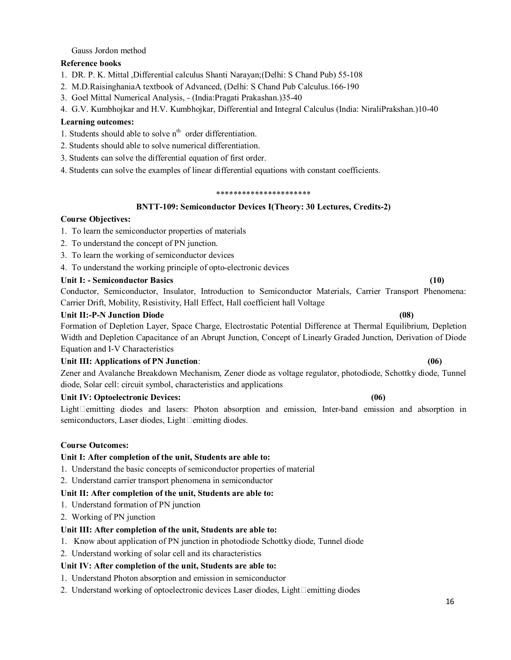## Gauss Jordon method

## **Reference books**

- 1. DR. P. K. Mittal ,Differential calculus Shanti Narayan;(Delhi: S Chand Pub) 55-108
- 2. M.D.RaisinghaniaA textbook of Advanced, (Delhi: S Chand Pub Calculus.166-190
- 3. Goel Mittal Numerical Analysis, (India:Pragati Prakashan.)35-40
- 4. G.V. Kumbhojkar and H.V. Kumbhojkar, Differential and Integral Calculus (India: NiraliPrakshan.)10-40

## **Learning outcomes:**

- 1. Students should able to solve  $n<sup>th</sup>$  order differentiation.
- 2. Students should able to solve numerical differentiation.
- 3. Students can solve the differential equation of first order.
- 4. Students can solve the examples of linear differential equations with constant coefficients.

#### \*\*\*\*\*\*\*\*\*\*\*\*\*\*\*\*\*\*\*\*\*\*

## **BNTT-109: Semiconductor Devices I(Theory: 30 Lectures, Credits-2)**

## **Course Objectives:**

- 1. To learn the semiconductor properties of materials
- 2. To understand the concept of PN junction.
- 3. To learn the working of semiconductor devices
- 4. To understand the working principle of opto-electronic devices

### **Unit I: - Semiconductor Basics (10)**

Conductor, Semiconductor, Insulator, Introduction to Semiconductor Materials, Carrier Transport Phenomena: Carrier Drift, Mobility, Resistivity, Hall Effect, Hall coefficient hall Voltage

### **Unit II:-P-N Junction Diode (08)**

Formation of Depletion Layer, Space Charge, Electrostatic Potential Difference at Thermal Equilibrium, Depletion Width and Depletion Capacitance of an Abrupt Junction, Concept of Linearly Graded Junction, Derivation of Diode Equation and I-V Characteristics

### **Unit III: Applications of PN Junction**: **(06)**

Zener and Avalanche Breakdown Mechanism, Zener diode as voltage regulator, photodiode, Schottky diode, Tunnel diode, Solar cell: circuit symbol, characteristics and applications

## **Unit IV: Optoelectronic Devices: (06)**

Light $\Box$ emitting diodes and lasers: Photon absorption and emission, Inter-band emission and absorption in semiconductors, Laser diodes, Light $\square$ emitting diodes.

### **Course Outcomes:**

### **Unit I: After completion of the unit, Students are able to:**

- 1. Understand the basic concepts of semiconductor properties of material
- 2. Understand carrier transport phenomena in semiconductor

### **Unit II: After completion of the unit, Students are able to:**

- 1. Understand formation of PN junction
- 2. Working of PN junction

### **Unit III: After completion of the unit, Students are able to:**

- 1. Know about application of PN junction in photodiode Schottky diode, Tunnel diode
- 2. Understand working of solar cell and its characteristics

## **Unit IV: After completion of the unit, Students are able to:**

- 1. Understand Photon absorption and emission in semiconductor
- 2. Understand working of optoelectronic devices Laser diodes, Light $\Box$ emitting diodes

16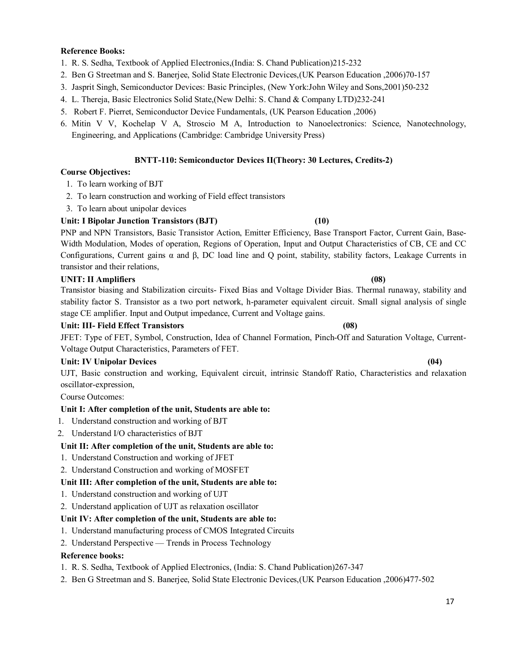## **Reference Books:**

- 1. R. S. Sedha, Textbook of Applied Electronics,(India: S. Chand Publication)215-232
- 2. Ben G Streetman and S. Banerjee, Solid State Electronic Devices,(UK Pearson Education ,2006)70-157
- 3. Jasprit Singh, Semiconductor Devices: Basic Principles, (New York:John Wiley and Sons,2001)50-232
- 4. L. Thereja, Basic Electronics Solid State,(New Delhi: S. Chand & Company LTD)232-241
- 5. Robert F. Pierret, Semiconductor Device Fundamentals, (UK Pearson Education ,2006)
- 6. Mitin V V, Kochelap V A, Stroscio M A, Introduction to Nanoelectronics: Science, Nanotechnology, Engineering, and Applications (Cambridge: Cambridge University Press)

### **BNTT-110: Semiconductor Devices II(Theory: 30 Lectures, Credits-2)**

### **Course Objectives:**

- 1. To learn working of BJT
- 2. To learn construction and working of Field effect transistors
- 3. To learn about unipolar devices

## **Unit: I Bipolar Junction Transistors (BJT) (10)**

PNP and NPN Transistors, Basic Transistor Action, Emitter Efficiency, Base Transport Factor, Current Gain, Base-Width Modulation, Modes of operation, Regions of Operation, Input and Output Characteristics of CB, CE and CC Configurations, Current gains α and β, DC load line and Q point, stability, stability factors, Leakage Currents in transistor and their relations,

## **UNIT: II Amplifiers (08)**

Transistor biasing and Stabilization circuits- Fixed Bias and Voltage Divider Bias. Thermal runaway, stability and stability factor S. Transistor as a two port network, h-parameter equivalent circuit. Small signal analysis of single stage CE amplifier. Input and Output impedance, Current and Voltage gains.

### **Unit: III- Field Effect Transistors (08)**

JFET: Type of FET, Symbol, Construction, Idea of Channel Formation, Pinch-Off and Saturation Voltage, Current-Voltage Output Characteristics, Parameters of FET.

### Unit: IV Unipolar Devices (04) *COMPONER (04)* **COMPONER (04) COMPONER (04) COMPONER (04) COMPONER (04) COMPONER (04) COMPONER (04) COMPONER (04) COMPONER (04) COMPONER (04) COMPONER (04) COMPONER (04**

UJT, Basic construction and working, Equivalent circuit, intrinsic Standoff Ratio, Characteristics and relaxation oscillator-expression,

Course Outcomes:

## **Unit I: After completion of the unit, Students are able to:**

- 1. Understand construction and working of BJT
- 2. Understand I/O characteristics of BJT

### **Unit II: After completion of the unit, Students are able to:**

- 1. Understand Construction and working of JFET
- 2. Understand Construction and working of MOSFET

### **Unit III: After completion of the unit, Students are able to:**

- 1. Understand construction and working of UJT
- 2. Understand application of UJT as relaxation oscillator

## **Unit IV: After completion of the unit, Students are able to:**

- 1. Understand manufacturing process of CMOS Integrated Circuits
- 2. Understand Perspective Trends in Process Technology

### **Reference books:**

1. R. S. Sedha, Textbook of Applied Electronics, (India: S. Chand Publication)267-347

2. Ben G Streetman and S. Banerjee, Solid State Electronic Devices,(UK Pearson Education ,2006)477-502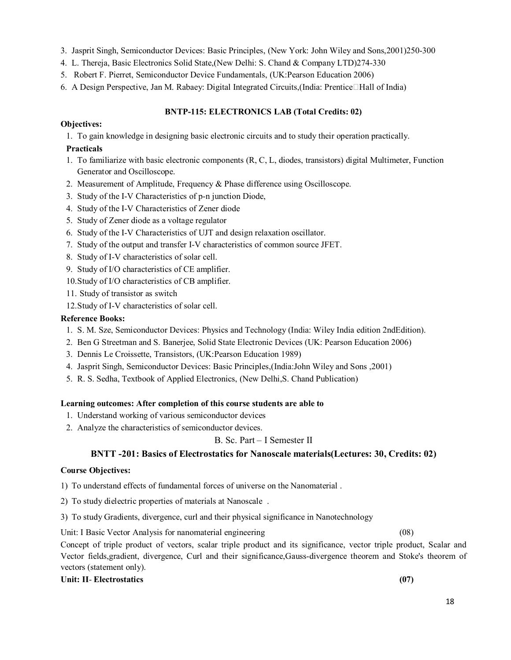- 3. Jasprit Singh, Semiconductor Devices: Basic Principles, (New York: John Wiley and Sons,2001)250-300
- 4. L. Thereja, Basic Electronics Solid State,(New Delhi: S. Chand & Company LTD)274-330
- 5. Robert F. Pierret, Semiconductor Device Fundamentals, (UK:Pearson Education 2006)
- 6. A Design Perspective, Jan M. Rabaey: Digital Integrated Circuits, (India: Prentice $\Box$ Hall of India)

## **BNTP-115: ELECTRONICS LAB (Total Credits: 02)**

## **Objectives:**

1. To gain knowledge in designing basic electronic circuits and to study their operation practically.

## **Practicals**

- 1. To familiarize with basic electronic components (R, C, L, diodes, transistors) digital Multimeter, Function Generator and Oscilloscope.
- 2. Measurement of Amplitude, Frequency & Phase difference using Oscilloscope.
- 3. Study of the I-V Characteristics of p-n junction Diode,
- 4. Study of the I-V Characteristics of Zener diode
- 5. Study of Zener diode as a voltage regulator
- 6. Study of the I-V Characteristics of UJT and design relaxation oscillator.
- 7. Study of the output and transfer I-V characteristics of common source JFET.
- 8. Study of I-V characteristics of solar cell.
- 9. Study of I/O characteristics of CE amplifier.
- 10.Study of I/O characteristics of CB amplifier.
- 11. Study of transistor as switch
- 12.Study of I-V characteristics of solar cell.

## **Reference Books:**

- 1. S. M. Sze, Semiconductor Devices: Physics and Technology (India: Wiley India edition 2ndEdition).
- 2. Ben G Streetman and S. Banerjee, Solid State Electronic Devices (UK: Pearson Education 2006)
- 3. Dennis Le Croissette, Transistors, (UK:Pearson Education 1989)
- 4. Jasprit Singh, Semiconductor Devices: Basic Principles,(India:John Wiley and Sons ,2001)
- 5. R. S. Sedha, Textbook of Applied Electronics, (New Delhi,S. Chand Publication)

## **Learning outcomes: After completion of this course students are able to**

- 1. Understand working of various semiconductor devices
- 2. Analyze the characteristics of semiconductor devices.

## B. Sc. Part – I Semester II

## **BNTT -201: Basics of Electrostatics for Nanoscale materials(Lectures: 30, Credits: 02)**

## **Course Objectives:**

1) To understand effects of fundamental forces of universe on the Nanomaterial .

- 2) To study dielectric properties of materials at Nanoscale .
- 3) To study Gradients, divergence, curl and their physical significance in Nanotechnology

Unit: I Basic Vector Analysis for nanomaterial engineering (08)

Concept of triple product of vectors, scalar triple product and its significance, vector triple product, Scalar and Vector fields,gradient, divergence, Curl and their significance,Gauss-divergence theorem and Stoke's theorem of vectors (statement only).

## **Unit: II**- **Electrostatics (07)**

18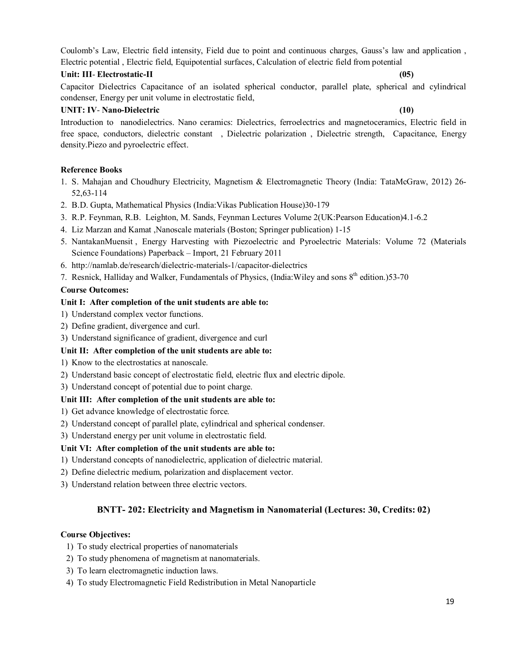Coulomb's Law, Electric field intensity, Field due to point and continuous charges, Gauss's law and application , Electric potential , Electric field, Equipotential surfaces, Calculation of electric field from potential

## **Unit: III**- **Electrostatic-II (05)**

Capacitor Dielectrics Capacitance of an isolated spherical conductor, parallel plate, spherical and cylindrical condenser, Energy per unit volume in electrostatic field,

## **UNIT: IV**- **Nano-Dielectric (10)**

Introduction to nanodielectrics. Nano ceramics: Dielectrics, ferroelectrics and magnetoceramics, Electric field in free space, conductors, dielectric constant , Dielectric polarization , Dielectric strength, Capacitance, Energy density.Piezo and pyroelectric effect.

## **Reference Books**

- 1. S. Mahajan and Choudhury Electricity, Magnetism & Electromagnetic Theory (India: TataMcGraw, 2012) 26- 52,63-114
- 2. B.D. Gupta, Mathematical Physics (India:Vikas Publication House)30-179
- 3. R.P. Feynman, R.B. Leighton, M. Sands, Feynman Lectures Volume 2(UK:Pearson Education)4.1-6.2
- 4. Liz Marzan and Kamat ,Nanoscale materials (Boston; Springer publication) 1-15
- 5. NantakanMuensit , Energy Harvesting with Piezoelectric and Pyroelectric Materials: Volume 72 (Materials Science Foundations) Paperback – Import, 21 February 2011
- 6. <http://namlab.de/research/dielectric-materials-1/capacitor-dielectrics>
- 7. Resnick, Halliday and Walker, Fundamentals of Physics, (India: Wiley and sons  $8<sup>th</sup>$  edition.)53-70

## **Course Outcomes:**

## **Unit I: After completion of the unit students are able to:**

- 1) Understand complex vector functions.
- 2) Define gradient, divergence and curl.
- 3) Understand significance of gradient, divergence and curl

## **Unit II: After completion of the unit students are able to:**

- 1) Know to the electrostatics at nanoscale.
- 2) Understand basic concept of electrostatic field, electric flux and electric dipole.
- 3) Understand concept of potential due to point charge.

## **Unit III: After completion of the unit students are able to:**

- 1) Get advance knowledge of electrostatic force.
- 2) Understand concept of parallel plate, cylindrical and spherical condenser.
- 3) Understand energy per unit volume in electrostatic field.

## **Unit VI: After completion of the unit students are able to:**

- 1) Understand concepts of nanodielectric, application of dielectric material.
- 2) Define dielectric medium, polarization and displacement vector.
- 3) Understand relation between three electric vectors.

## **BNTT- 202: Electricity and Magnetism in Nanomaterial (Lectures: 30, Credits: 02)**

## **Course Objectives:**

- 1) To study electrical properties of nanomaterials
- 2) To study phenomena of magnetism at nanomaterials.
- 3) To learn electromagnetic induction laws.
- 4) To study Electromagnetic Field Redistribution in Metal Nanoparticle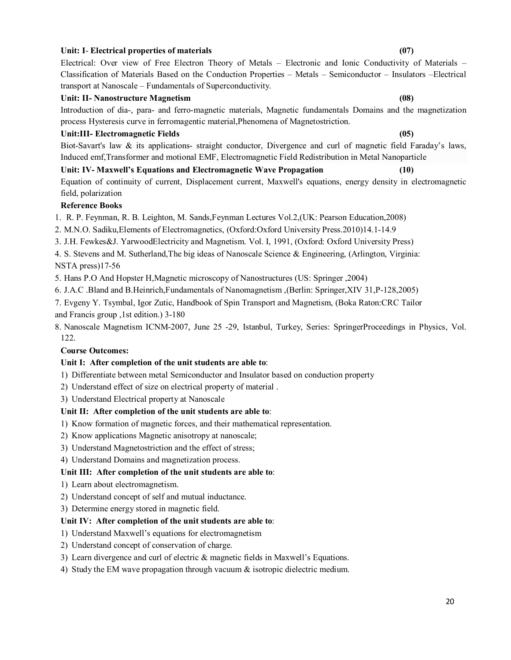### 20

## **Unit: I**- **Electrical properties of materials (07)**

## Electrical: Over view of Free Electron Theory of Metals – Electronic and Ionic Conductivity of Materials – Classification of Materials Based on the Conduction Properties – Metals – Semiconductor – Insulators –Electrical transport at Nanoscale – Fundamentals of Superconductivity.

## **Unit: II- Nanostructure Magnetism (08)**

Introduction of dia-, para- and ferro-magnetic materials, Magnetic fundamentals Domains and the magnetization process Hysteresis curve in ferromagentic material,Phenomena of Magnetostriction.

## **Unit:III- Electromagnetic Fields (05)**

Biot-Savart's law & its applications- straight conductor, Divergence and curl of magnetic field Faraday's laws, Induced emf,Transformer and motional EMF, Electromagnetic Field Redistribution in Metal Nanoparticle

**Unit: IV- Maxwell's Equations and Electromagnetic Wave Propagation (10)** Equation of continuity of current, Displacement current, Maxwell's equations, energy density in electromagnetic field, polarization

## **Reference Books**

1. R. P. Feynman, R. B. Leighton, M. Sands,Feynman Lectures Vol.2,(UK: Pearson Education,2008)

2. M.N.O. Sadiku,Elements of Electromagnetics, (Oxford:Oxford University Press.2010)14.1-14.9

3. J.H. Fewkes&J. YarwoodElectricity and Magnetism. Vol. I, 1991, (Oxford: Oxford University Press)

4. S. Stevens and M. Sutherland,The big ideas of Nanoscale Science & Engineering, (Arlington, Virginia: NSTA press)17-56

- 5. Hans P.O And Hopster H,Magnetic microscopy of Nanostructures (US: Springer ,2004)
- 6. J.A.C .Bland and B.Heinrich,Fundamentals of Nanomagnetism ,(Berlin: Springer,XIV 31,P-128,2005)

7. Evgeny Y. Tsymbal, Igor Zutic, Handbook of Spin Transport and Magnetism, (Boka Raton:CRC Tailor and Francis group ,1st edition.) 3-180

8. Nanoscale Magnetism ICNM-2007, June 25 -29, Istanbul, Turkey, Series: SpringerProceedings in Physics, Vol. 122.

## **Course Outcomes:**

## **Unit I: After completion of the unit students are able to**:

1) Differentiate between metal Semiconductor and Insulator based on conduction property

- 2) Understand effect of size on electrical property of material .
- 3) Understand Electrical property at Nanoscale

## **Unit II: After completion of the unit students are able to**:

- 1) Know formation of magnetic forces, and their mathematical representation.
- 2) Know applications Magnetic anisotropy at nanoscale;
- 3) Understand Magnetostriction and the effect of stress;
- 4) Understand Domains and magnetization process.

### **Unit III: After completion of the unit students are able to**:

- 1) Learn about electromagnetism.
- 2) Understand concept of self and mutual inductance.
- 3) Determine energy stored in magnetic field.

## **Unit IV: After completion of the unit students are able to**:

- 1) Understand Maxwell's equations for electromagnetism
- 2) Understand concept of conservation of charge.
- 3) Learn divergence and curl of electric & magnetic fields in Maxwell's Equations.
- 4) Study the EM wave propagation through vacuum & isotropic dielectric medium.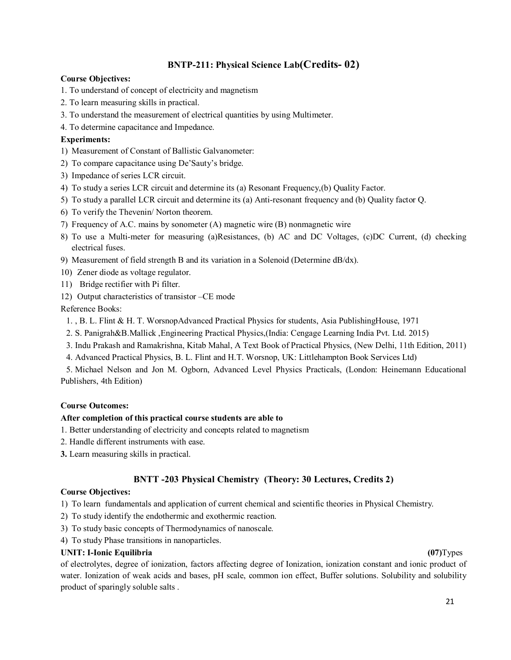## **BNTP-211: Physical Science Lab(Credits- 02)**

## **Course Objectives:**

- 1. To understand of concept of electricity and magnetism
- 2. To learn measuring skills in practical.
- 3. To understand the measurement of electrical quantities by using Multimeter.
- 4. To determine capacitance and Impedance.

## **Experiments:**

- 1) Measurement of Constant of Ballistic Galvanometer:
- 2) To compare capacitance using De'Sauty's bridge.
- 3) Impedance of series LCR circuit.
- 4) To study a series LCR circuit and determine its (a) Resonant Frequency,(b) Quality Factor.
- 5) To study a parallel LCR circuit and determine its (a) Anti-resonant frequency and (b) Quality factor Q.
- 6) To verify the Thevenin/ Norton theorem.
- 7) Frequency of A.C. mains by sonometer (A) magnetic wire (B) nonmagnetic wire
- 8) To use a Multi-meter for measuring (a)Resistances, (b) AC and DC Voltages, (c)DC Current, (d) checking electrical fuses.
- 9) Measurement of field strength B and its variation in a Solenoid (Determine dB/dx).
- 10) Zener diode as voltage regulator.
- 11) Bridge rectifier with Pi filter.
- 12) Output characteristics of transistor –CE mode

Reference Books:

- 1. , B. L. Flint & H. T. WorsnopAdvanced Practical Physics for students, Asia PublishingHouse, 1971
- 2. S. Panigrah&B.Mallick ,Engineering Practical Physics,(India: Cengage Learning India Pvt. Ltd. 2015)
- 3. Indu Prakash and Ramakrishna, Kitab Mahal, A Text Book of Practical Physics, (New Delhi, 11th Edition, 2011)
- 4. Advanced Practical Physics, B. L. Flint and H.T. Worsnop, UK: Littlehampton Book Services Ltd)

5. Michael Nelson and Jon M. Ogborn, Advanced Level Physics Practicals, (London: Heinemann Educational Publishers, 4th Edition)

## **Course Outcomes:**

## **After completion of this practical course students are able to**

- 1. Better understanding of electricity and concepts related to magnetism
- 2. Handle different instruments with ease.
- **3.** Learn measuring skills in practical.

## **BNTT -203 Physical Chemistry (Theory: 30 Lectures, Credits 2)**

## **Course Objectives:**

1) To learn fundamentals and application of current chemical and scientific theories in Physical Chemistry.

- 2) To study identify the endothermic and exothermic reaction.
- 3) To study basic concepts of Thermodynamics of nanoscale.
- 4) To study Phase transitions in nanoparticles.

## **UNIT: I-Ionic Equilibria (07)**Types

of electrolytes, degree of ionization, factors affecting degree of Ionization, ionization constant and ionic product of water. Ionization of weak acids and bases, pH scale, common ion effect, Buffer solutions. Solubility and solubility product of sparingly soluble salts .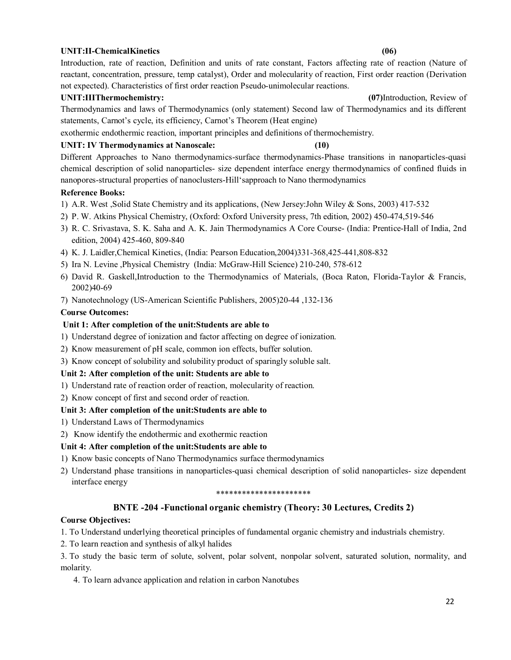## **UNIT:II-ChemicalKinetics (06)**

Introduction, rate of reaction, Definition and units of rate constant, Factors affecting rate of reaction (Nature of reactant, concentration, pressure, temp catalyst), Order and molecularity of reaction, First order reaction (Derivation not expected). Characteristics of first order reaction Pseudo-unimolecular reactions.

## **UNIT:IIIThermochemistry: (07)**Introduction, Review of

Thermodynamics and laws of Thermodynamics (only statement) Second law of Thermodynamics and its different statements, Carnot's cycle, its efficiency, Carnot's Theorem (Heat engine)

exothermic endothermic reaction, important principles and definitions of thermochemistry.

## **UNIT: IV Thermodynamics at Nanoscale: (10)**

Different Approaches to Nano thermodynamics-surface thermodynamics-Phase transitions in nanoparticles-quasi chemical description of solid nanoparticles- size dependent interface energy thermodynamics of confined fluids in nanopores-structural properties of nanoclusters-Hill'sapproach to Nano thermodynamics

## **Reference Books:**

- 1) A.R. West ,Solid State Chemistry and its applications, (New Jersey:John Wiley & Sons, 2003) 417-532
- 2) P. W. Atkins Physical Chemistry, (Oxford: Oxford University press, 7th edition, 2002) 450-474,519-546
- 3) R. C. Srivastava, S. K. Saha and A. K. Jain Thermodynamics A Core Course- (India: Prentice-Hall of India, 2nd edition, 2004) 425-460, 809-840
- 4) K. J. Laidler,Chemical Kinetics, (India: Pearson Education,2004)331-368,425-441,808-832
- 5) Ira N. Levine ,Physical Chemistry (India: McGraw-Hill Science) 210-240, 578-612
- 6) David R. Gaskell,Introduction to the Thermodynamics of Materials, (Boca Raton, Florida-Taylor & Francis, 2002)40-69
- 7) Nanotechnology (US-American Scientific Publishers, 2005)20-44 ,132-136

## **Course Outcomes:**

## **Unit 1: After completion of the unit:Students are able to**

- 1) Understand degree of ionization and factor affecting on degree of ionization.
- 2) Know measurement of pH scale, common ion effects, buffer solution.
- 3) Know concept of solubility and solubility product of sparingly soluble salt.

### **Unit 2: After completion of the unit: Students are able to**

- 1) Understand rate of reaction order of reaction, molecularity of reaction.
- 2) Know concept of first and second order of reaction.

## **Unit 3: After completion of the unit:Students are able to**

- 1) Understand Laws of Thermodynamics
- 2) Know identify the endothermic and exothermic reaction

## **Unit 4: After completion of the unit:Students are able to**

- 1) Know basic concepts of Nano Thermodynamics surface thermodynamics
- 2) Understand phase transitions in nanoparticles-quasi chemical description of solid nanoparticles- size dependent interface energy

#### \*\*\*\*\*\*\*\*\*\*\*\*\*\*\*\*\*\*\*\*\*\*

## **BNTE -204 -Functional organic chemistry (Theory: 30 Lectures, Credits 2)**

### **Course Objectives:**

1. To Understand underlying theoretical principles of fundamental organic chemistry and industrials chemistry.

2. To learn reaction and synthesis of alkyl halides

3. To study the basic term of solute, solvent, polar solvent, nonpolar solvent, saturated solution, normality, and molarity.

4. To learn advance application and relation in carbon Nanotubes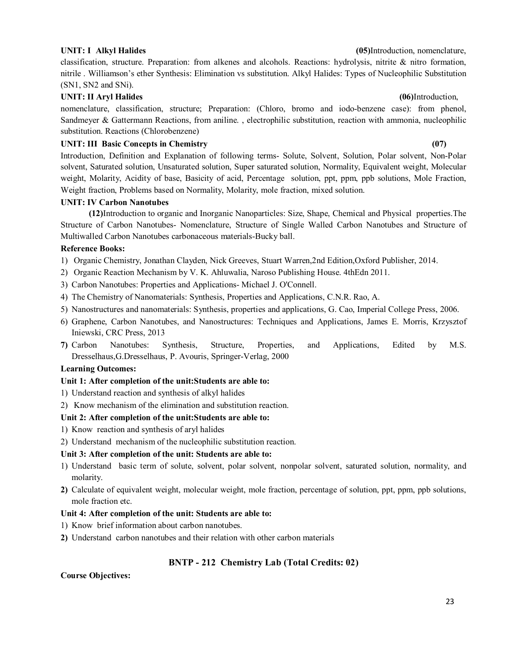classification, structure. Preparation: from alkenes and alcohols. Reactions: hydrolysis, nitrite & nitro formation, nitrile . Williamson's ether Synthesis: Elimination vs substitution. Alkyl Halides: Types of Nucleophilic Substitution (SN1, SN2 and SNi).

## UNIT: II Aryl Halides (06)Introduction,

nomenclature, classification, structure; Preparation: (Chloro, bromo and iodo-benzene case): from phenol, Sandmeyer & Gattermann Reactions, from aniline. , electrophilic substitution, reaction with ammonia, nucleophilic substitution. Reactions (Chlorobenzene)

## UNIT: III Basic Concepts in Chemistry (07)

Introduction, Definition and Explanation of following terms- Solute, Solvent, Solution, Polar solvent, Non-Polar solvent, Saturated solution, Unsaturated solution, Super saturated solution, Normality, Equivalent weight, Molecular weight, Molarity, Acidity of base, Basicity of acid, Percentage solution, ppt, ppm, ppb solutions, Mole Fraction, Weight fraction, Problems based on Normality, Molarity, mole fraction, mixed solution.

## **UNIT: IV Carbon Nanotubes**

**(12)**Introduction to organic and Inorganic Nanoparticles: Size, Shape, Chemical and Physical properties.The Structure of Carbon Nanotubes- Nomenclature, Structure of Single Walled Carbon Nanotubes and Structure of Multiwalled Carbon Nanotubes carbonaceous materials-Bucky ball.

## **Reference Books:**

- 1) Organic Chemistry, Jonathan Clayden, Nick Greeves, Stuart Warren,2nd Edition,Oxford Publisher, 2014.
- 2) Organic Reaction Mechanism by V. K. Ahluwalia, Naroso Publishing House. 4thEdn 2011.
- 3) Carbon Nanotubes: Properties and Applications- Michael J. O'Connell.
- 4) The Chemistry of Nanomaterials: Synthesis, Properties and Applications, C.N.R. Rao, A.
- 5) Nanostructures and nanomaterials: Synthesis, properties and applications, G. Cao, Imperial College Press, 2006.
- 6) Graphene, Carbon Nanotubes, and Nanostructures: Techniques and Applications, James E. Morris, Krzysztof Iniewski, CRC Press, 2013
- **7)** Carbon Nanotubes: Synthesis, Structure, Properties, and Applications, Edited by M.S. Dresselhaus,G.Dresselhaus, P. Avouris, Springer-Verlag, 2000

## **Learning Outcomes:**

## **Unit 1: After completion of the unit:Students are able to:**

- 1) Understand reaction and synthesis of alkyl halides
- 2) Know mechanism of the elimination and substitution reaction.

## **Unit 2: After completion of the unit:Students are able to:**

- 1) Know reaction and synthesis of aryl halides
- 2) Understand mechanism of the nucleophilic substitution reaction.

## **Unit 3: After completion of the unit: Students are able to:**

- 1) Understand basic term of solute, solvent, polar solvent, nonpolar solvent, saturated solution, normality, and molarity.
- **2)** Calculate of equivalent weight, molecular weight, mole fraction, percentage of solution, ppt, ppm, ppb solutions, mole fraction etc.

### **Unit 4: After completion of the unit: Students are able to:**

- 1) Know brief information about carbon nanotubes.
- **2)** Understand carbon nanotubes and their relation with other carbon materials

## **BNTP - 212 Chemistry Lab (Total Credits: 02)**

### **Course Objectives:**

## **UNIT: I Alkyl Halides (05)**Introduction, nomenclature,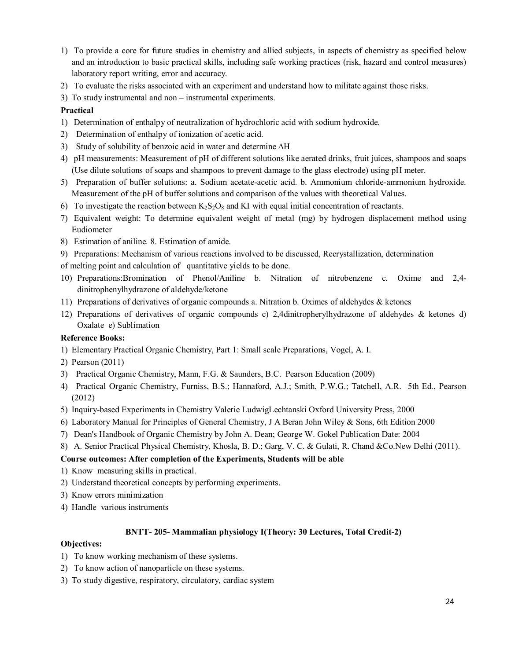- 1) To provide a core for future studies in chemistry and allied subjects, in aspects of chemistry as specified below and an introduction to basic practical skills, including safe working practices (risk, hazard and control measures) laboratory report writing, error and accuracy.
- 2) To evaluate the risks associated with an experiment and understand how to militate against those risks.
- 3) To study instrumental and non instrumental experiments.

## **Practical**

- 1) Determination of enthalpy of neutralization of hydrochloric acid with sodium hydroxide.
- 2) Determination of enthalpy of ionization of acetic acid.
- 3) Study of solubility of benzoic acid in water and determine ∆H
- 4) pH measurements: Measurement of pH of different solutions like aerated drinks, fruit juices, shampoos and soaps (Use dilute solutions of soaps and shampoos to prevent damage to the glass electrode) using pH meter.
- 5) Preparation of buffer solutions: a. Sodium acetate-acetic acid. b. Ammonium chloride-ammonium hydroxide. Measurement of the pH of buffer solutions and comparison of the values with theoretical Values.
- 6) To investigate the reaction between  $K_2S_2O_8$  and KI with equal initial concentration of reactants.
- 7) Equivalent weight: To determine equivalent weight of metal (mg) by hydrogen displacement method using Eudiometer
- 8) Estimation of aniline. 8. Estimation of amide.
- 9) Preparations: Mechanism of various reactions involved to be discussed, Recrystallization, determination of melting point and calculation of quantitative yields to be done.
- 10) Preparations:Bromination of Phenol/Aniline b. Nitration of nitrobenzene c. Oxime and 2,4 dinitrophenylhydrazone of aldehyde/ketone
- 11) Preparations of derivatives of organic compounds a. Nitration b. Oximes of aldehydes & ketones
- 12) Preparations of derivatives of organic compounds c) 2,4dinitropherylhydrazone of aldehydes & ketones d) Oxalate e) Sublimation

## **Reference Books:**

- 1) Elementary Practical Organic Chemistry, Part 1: Small scale Preparations, Vogel, A. I.
- 2) Pearson (2011)
- 3) Practical Organic Chemistry, Mann, F.G. & Saunders, B.C. Pearson Education (2009)
- 4) Practical Organic Chemistry, Furniss, B.S.; Hannaford, A.J.; Smith, P.W.G.; Tatchell, A.R. 5th Ed., Pearson (2012)
- 5) Inquiry-based Experiments in Chemistry Valerie LudwigLechtanski Oxford University Press, 2000
- 6) Laboratory Manual for Principles of General Chemistry, J A Beran John Wiley & Sons, 6th Edition 2000
- 7) Dean's Handbook of Organic Chemistry by John A. Dean; George W. Gokel Publication Date: 2004
- 8) A. Senior Practical Physical Chemistry, Khosla, B. D.; Garg, V. C. & Gulati, R. Chand &Co.New Delhi (2011).

## **Course outcomes: After completion of the Experiments, Students will be able**

- 1) Know measuring skills in practical.
- 2) Understand theoretical concepts by performing experiments.
- 3) Know errors minimization
- 4) Handle various instruments

## **BNTT- 205- Mammalian physiology I(Theory: 30 Lectures, Total Credit-2)**

## **Objectives:**

- 1) To know working mechanism of these systems.
- 2) To know action of nanoparticle on these systems.
- 3) To study digestive, respiratory, circulatory, cardiac system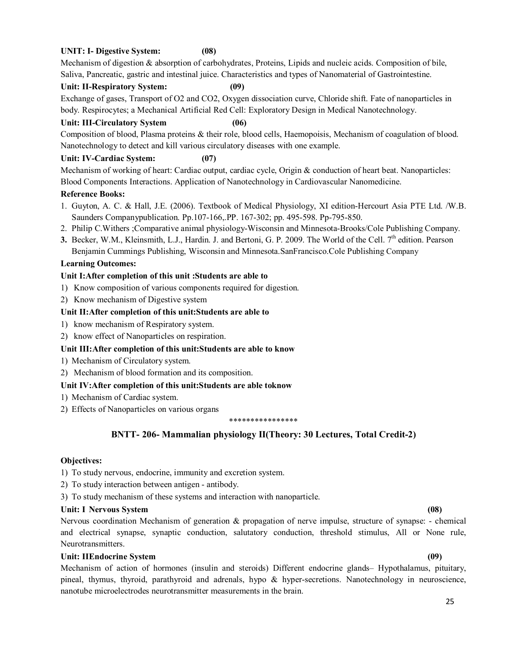## **UNIT: I- Digestive System: (08)**

Mechanism of digestion & absorption of carbohydrates, Proteins, Lipids and nucleic acids. Composition of bile, Saliva, Pancreatic, gastric and intestinal juice. Characteristics and types of Nanomaterial of Gastrointestine.

## **Unit: II-Respiratory System: (09)**

Exchange of gases, Transport of O2 and CO2, Oxygen dissociation curve, Chloride shift. Fate of nanoparticles in body. Respirocytes; a Mechanical Artificial Red Cell: Exploratory Design in Medical Nanotechnology.

## **Unit: III-Circulatory System (06)**

Composition of blood, Plasma proteins & their role, blood cells, Haemopoisis, Mechanism of coagulation of blood. Nanotechnology to detect and kill various circulatory diseases with one example.

## **Unit: IV-Cardiac System: (07)**

Mechanism of working of heart: Cardiac output, cardiac cycle, Origin & conduction of heart beat. Nanoparticles: Blood Components Interactions. Application of Nanotechnology in Cardiovascular Nanomedicine.

### **Reference Books:**

- 1. Guyton, A. C. & Hall, J.E. (2006). Textbook of Medical Physiology, XI edition-Hercourt Asia PTE Ltd. /W.B. Saunders Companypublication. Pp.107-166,.PP. 167-302; pp. 495-598. Pp-795-850.
- 2. Philip C.Withers ;Comparative animal physiology-Wisconsin and Minnesota-Brooks/Cole Publishing Company.
- **3.** Becker, W.M., Kleinsmith, L.J., Hardin. J. and Bertoni, G. P. 2009. The World of the Cell. 7<sup>th</sup> edition. Pearson Benjamin Cummings Publishing, Wisconsin and Minnesota.SanFrancisco.Cole Publishing Company

## **Learning Outcomes:**

## **Unit I:After completion of this unit :Students are able to**

- 1) Know composition of various components required for digestion.
- 2) Know mechanism of Digestive system

### **Unit II:After completion of this unit:Students are able to**

- 1) know mechanism of Respiratory system.
- 2) know effect of Nanoparticles on respiration.

### **Unit III:After completion of this unit:Students are able to know**

- 1) Mechanism of Circulatory system.
- 2) Mechanism of blood formation and its composition.

### **Unit IV:After completion of this unit:Students are able toknow**

- 1) Mechanism of Cardiac system.
- 2) Effects of Nanoparticles on various organs

#### \*\*\*\*\*\*\*\*\*\*\*\*\*\*\*\*

## **BNTT- 206- Mammalian physiology II(Theory: 30 Lectures, Total Credit-2)**

### **Objectives:**

1) To study nervous, endocrine, immunity and excretion system.

- 2) To study interaction between antigen antibody.
- 3) To study mechanism of these systems and interaction with nanoparticle.

### **Unit: I Nervous System (08)**

Nervous coordination Mechanism of generation & propagation of nerve impulse, structure of synapse: - chemical and electrical synapse, synaptic conduction, salutatory conduction, threshold stimulus, All or None rule, Neurotransmitters.

## **Unit: IIEndocrine System (09)**

Mechanism of action of hormones (insulin and steroids) Different endocrine glands– Hypothalamus, pituitary, pineal, thymus, thyroid, parathyroid and adrenals, hypo & hyper-secretions. Nanotechnology in neuroscience, nanotube microelectrodes neurotransmitter measurements in the brain.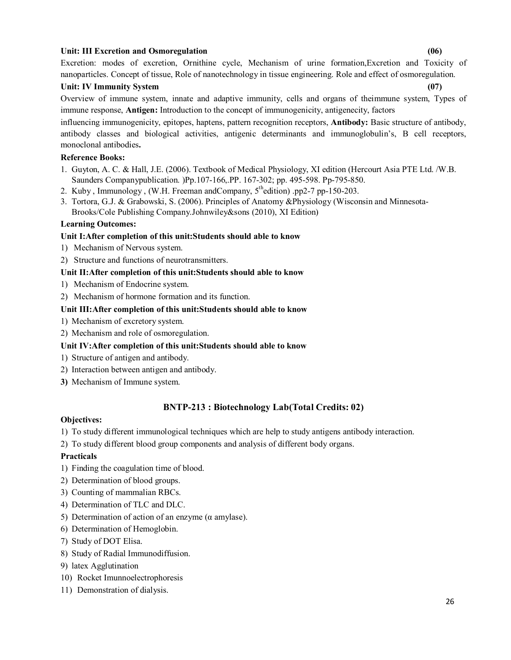## **Unit: III Excretion and Osmoregulation (06)**

Excretion: modes of excretion, Ornithine cycle, Mechanism of urine formation,Excretion and Toxicity of nanoparticles. Concept of tissue, Role of nanotechnology in tissue engineering. Role and effect of osmoregulation.

## **Unit: IV Immunity System (07)**

Overview of immune system, innate and adaptive immunity, cells and organs of theimmune system, Types of immune response, **Antigen:** Introduction to the concept of immunogenicity, antigenecity, factors

influencing immunogenicity, epitopes, haptens, pattern recognition receptors, **Antibody:** Basic structure of antibody, antibody classes and biological activities, antigenic determinants and immunoglobulin's, B cell receptors, monoclonal antibodies**.**

## **Reference Books:**

- 1. Guyton, A. C. & Hall, J.E. (2006). Textbook of Medical Physiology, XI edition (Hercourt Asia PTE Ltd. /W.B. Saunders Companypublication. )Pp.107-166,.PP. 167-302; pp. 495-598. Pp-795-850.
- 2. Kuby, Immunology, (W.H. Freeman and Company,  $5^{\text{th}}$ edition) .pp2-7 pp-150-203.
- 3. Tortora, G.J. & Grabowski, S. (2006). Principles of Anatomy &Physiology (Wisconsin and Minnesota-Brooks/Cole Publishing Company.Johnwiley&sons (2010), XI Edition)

### **Learning Outcomes:**

### **Unit I:After completion of this unit:Students should able to know**

- 1) Mechanism of Nervous system.
- 2) Structure and functions of neurotransmitters.

### **Unit II:After completion of this unit:Students should able to know**

- 1) Mechanism of Endocrine system.
- 2) Mechanism of hormone formation and its function.

### **Unit III:After completion of this unit:Students should able to know**

- 1) Mechanism of excretory system.
- 2) Mechanism and role of osmoregulation.

## **Unit IV:After completion of this unit:Students should able to know**

- 1) Structure of antigen and antibody.
- 2) Interaction between antigen and antibody.
- **3)** Mechanism of Immune system.

## **BNTP-213 : Biotechnology Lab(Total Credits: 02)**

### **Objectives:**

- 1) To study different immunological techniques which are help to study antigens antibody interaction.
- 2) To study different blood group components and analysis of different body organs.

### **Practicals**

- 1) Finding the coagulation time of blood.
- 2) Determination of blood groups.
- 3) Counting of mammalian RBCs.
- 4) Determination of TLC and DLC.
- 5) Determination of action of an enzyme (α amylase).
- 6) Determination of Hemoglobin.
- 7) Study of DOT Elisa.
- 8) Study of Radial Immunodiffusion.
- 9) latex Agglutination
- 10) Rocket Imunnoelectrophoresis
- 11) Demonstration of dialysis.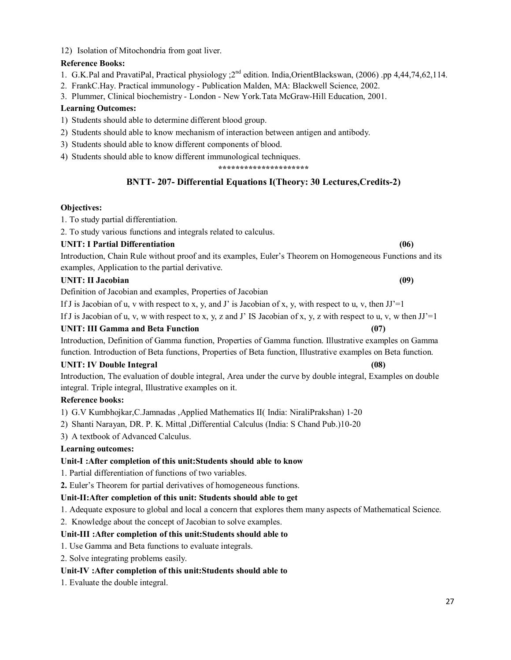12) Isolation of Mitochondria from goat liver.

## **Reference Books:**

- 1. G.K.Pal and PravatiPal, Practical physiology : 2<sup>nd</sup> edition. India, OrientBlackswan, (2006) .pp 4,44,74,62,114.
- 2. FrankC.Hay. Practical immunology Publication Malden, MA: Blackwell Science, 2002.
- 3. Plummer, Clinical biochemistry London New York.Tata McGraw-Hill Education, 2001.

## **Learning Outcomes:**

- 1) Students should able to determine different blood group.
- 2) Students should able to know mechanism of interaction between antigen and antibody.
- 3) Students should able to know different components of blood.
- 4) Students should able to know different immunological techniques.

**\*\*\*\*\*\*\*\*\*\*\*\*\*\*\*\*\*\*\*\*\***

## **BNTT- 207- Differential Equations I(Theory: 30 Lectures,Credits-2)**

## **Objectives:**

1. To study partial differentiation.

2. To study various functions and integrals related to calculus.

## **UNIT: I Partial Differentiation (06)**

Introduction, Chain Rule without proof and its examples, Euler's Theorem on Homogeneous Functions and its examples, Application to the partial derivative.

## UNIT: II Jacobian (09)

Definition of Jacobian and examples, Properties of Jacobian

If J is Jacobian of u, v with respect to x, y, and J' is Jacobian of x, y, with respect to u, v, then  $JJ'=1$ 

If J is Jacobian of u, v, w with respect to x, y, z and J' IS Jacobian of x, y, z with respect to u, v, w then  $JJ' = 1$ 

## **UNIT: III Gamma and Beta Function (07)**

Introduction, Definition of Gamma function, Properties of Gamma function. Illustrative examples on Gamma function. Introduction of Beta functions, Properties of Beta function, Illustrative examples on Beta function.

## UNIT: IV Double Integral (08)

Introduction, The evaluation of double integral, Area under the curve by double integral, Examples on double integral. Triple integral, Illustrative examples on it.

## **Reference books:**

- 1) G.V Kumbhojkar,C.Jamnadas ,Applied Mathematics II( India: NiraliPrakshan) 1-20
- 2) Shanti Narayan, DR. P. K. Mittal ,Differential Calculus (India: S Chand Pub.)10-20
- 3) A textbook of Advanced Calculus.

## **Learning outcomes:**

## **Unit-I :After completion of this unit:Students should able to know**

1. Partial differentiation of functions of two variables.

**2.** Euler's Theorem for partial derivatives of homogeneous functions.

## **Unit-II:After completion of this unit: Students should able to get**

1. Adequate exposure to global and local a concern that explores them many aspects of Mathematical Science.

2. Knowledge about the concept of Jacobian to solve examples.

## **Unit-III :After completion of this unit:Students should able to**

- 1. Use Gamma and Beta functions to evaluate integrals.
- 2. Solve integrating problems easily.

## **Unit-IV :After completion of this unit:Students should able to**

1. Evaluate the double integral.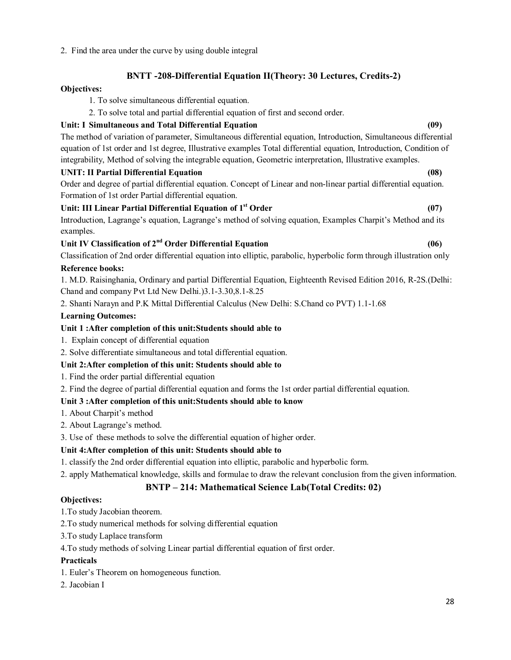## 2. Find the area under the curve by using double integral

## **BNTT -208-Differential Equation II(Theory: 30 Lectures, Credits-2)**

## **Objectives:**

- 1. To solve simultaneous differential equation.
- 2. To solve total and partial differential equation of first and second order.

## **Unit: I Simultaneous and Total Differential Equation (09)**

The method of variation of parameter, Simultaneous differential equation, Introduction, Simultaneous differential equation of 1st order and 1st degree, Illustrative examples Total differential equation, Introduction, Condition of integrability, Method of solving the integrable equation, Geometric interpretation, Illustrative examples.

## **UNIT: II Partial Differential Equation (08)**

Order and degree of partial differential equation. Concept of Linear and non-linear partial differential equation. Formation of 1st order Partial differential equation.

## **Unit: III Linear Partial Differential Equation of 1st Order (07)**

Introduction, Lagrange's equation, Lagrange's method of solving equation, Examples Charpit's Method and its examples.

## **Unit IV Classification of 2nd Order Differential Equation (06)**

Classification of 2nd order differential equation into elliptic, parabolic, hyperbolic form through illustration only

## **Reference books:**

1. M.D. Raisinghania, Ordinary and partial Differential Equation, Eighteenth Revised Edition 2016, R-2S.(Delhi: Chand and company Pvt Ltd New Delhi.)3.1-3.30,8.1-8.25

2. Shanti Narayn and P.K Mittal Differential Calculus (New Delhi: S.Chand co PVT) 1.1-1.68

## **Learning Outcomes:**

## **Unit 1 :After completion of this unit:Students should able to**

- 1. Explain concept of differential equation
- 2. Solve differentiate simultaneous and total differential equation.

## **Unit 2:After completion of this unit: Students should able to**

- 1. Find the order partial differential equation
- 2. Find the degree of partial differential equation and forms the 1st order partial differential equation.

## **Unit 3 :After completion of this unit:Students should able to know**

- 1. About Charpit's method
- 2. About Lagrange's method.
- 3. Use of these methods to solve the differential equation of higher order.

## **Unit 4:After completion of this unit: Students should able to**

- 1. classify the 2nd order differential equation into elliptic, parabolic and hyperbolic form.
- 2. apply Mathematical knowledge, skills and formulae to draw the relevant conclusion from the given information.

## **BNTP – 214: Mathematical Science Lab(Total Credits: 02)**

## **Objectives:**

- 1.To study Jacobian theorem.
- 2.To study numerical methods for solving differential equation
- 3.To study Laplace transform
- 4.To study methods of solving Linear partial differential equation of first order.

## **Practicals**

- 1. Euler's Theorem on homogeneous function.
- 2. Jacobian I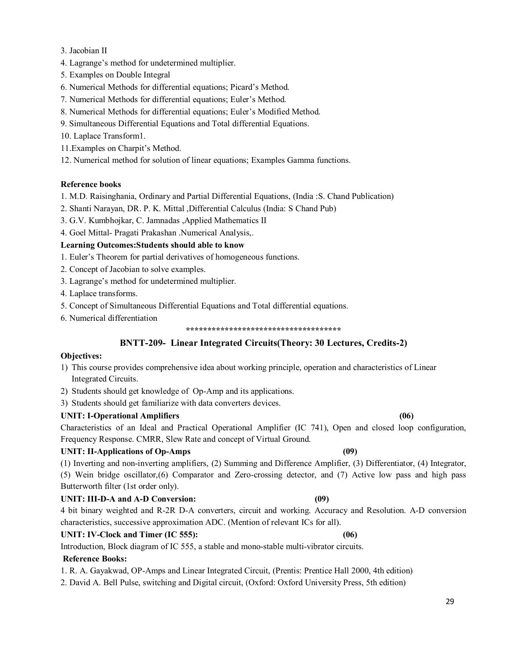## 3. Jacobian II

- 4. Lagrange's method for undetermined multiplier.
- 5. Examples on Double Integral
- 6. Numerical Methods for differential equations; Picard's Method.
- 7. Numerical Methods for differential equations; Euler's Method.
- 8. Numerical Methods for differential equations; Euler's Modified Method.
- 9. Simultaneous Differential Equations and Total differential Equations.
- 10. Laplace Transform1.
- 11.Examples on Charpit's Method.
- 12. Numerical method for solution of linear equations; Examples Gamma functions.

## **Reference books**

- 1. M.D. Raisinghania, Ordinary and Partial Differential Equations, (India :S. Chand Publication)
- 2. Shanti Narayan, DR. P. K. Mittal ,Differential Calculus (India: S Chand Pub)
- 3. G.V. Kumbhojkar, C. Jamnadas ,Applied Mathematics II
- 4. Goel Mittal- Pragati Prakashan .Numerical Analysis,.

## **Learning Outcomes:Students should able to know**

- 1. Euler's Theorem for partial derivatives of homogeneous functions.
- 2. Concept of Jacobian to solve examples.
- 3. Lagrange's method for undetermined multiplier.
- 4. Laplace transforms.
- 5. Concept of Simultaneous Differential Equations and Total differential equations.
- 6. Numerical differentiation

## **BNTT-209- Linear Integrated Circuits(Theory: 30 Lectures, Credits-2)**

### **Objectives:**

1) This course provides comprehensive idea about working principle, operation and characteristics of Linear Integrated Circuits.

2) Students should get knowledge of Op-Amp and its applications.

3) Students should get familiarize with data converters devices.

## **UNIT: I-Operational Amplifiers (06)**

Characteristics of an Ideal and Practical Operational Amplifier (IC 741), Open and closed loop configuration, Frequency Response. CMRR, Slew Rate and concept of Virtual Ground.

## **UNIT: II-Applications of Op-Amps (09)**

(1) Inverting and non-inverting amplifiers, (2) Summing and Difference Amplifier, (3) Differentiator, (4) Integrator, (5) Wein bridge oscillator,(6) Comparator and Zero-crossing detector, and (7) Active low pass and high pass Butterworth filter (1st order only).

## **UNIT: III-D-A and A-D Conversion: (09)**

4 bit binary weighted and R-2R D-A converters, circuit and working. Accuracy and Resolution. A-D conversion characteristics, successive approximation ADC. (Mention of relevant ICs for all).

## **UNIT: IV-Clock and Timer (IC 555): (06)**

## Introduction, Block diagram of IC 555, a stable and mono-stable multi-vibrator circuits.

## **Reference Books:**

1. R. A. Gayakwad, OP-Amps and Linear Integrated Circuit, (Prentis: Prentice Hall 2000, 4th edition)

2. David A. Bell Pulse, switching and Digital circuit, (Oxford: Oxford University Press, 5th edition)

**<sup>\*\*\*\*\*\*\*\*\*\*\*\*\*\*\*\*\*\*\*\*\*\*\*\*\*\*\*\*\*\*\*\*\*\*\*\*</sup>**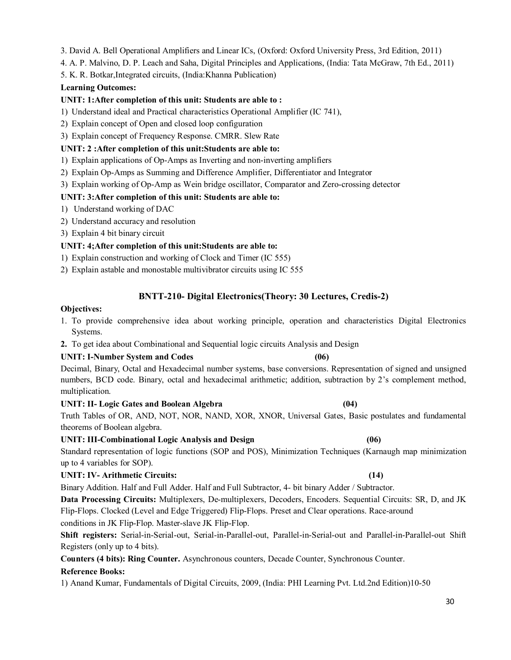3. David A. Bell Operational Amplifiers and Linear ICs, (Oxford: Oxford University Press, 3rd Edition, 2011)

4. A. P. Malvino, D. P. Leach and Saha, Digital Principles and Applications, (India: Tata McGraw, 7th Ed., 2011)

5. K. R. Botkar,Integrated circuits, (India:Khanna Publication)

## **Learning Outcomes:**

## **UNIT: 1:After completion of this unit: Students are able to :**

- 1) Understand ideal and Practical characteristics Operational Amplifier (IC 741),
- 2) Explain concept of Open and closed loop configuration
- 3) Explain concept of Frequency Response. CMRR. Slew Rate

## **UNIT: 2 :After completion of this unit:Students are able to:**

- 1) Explain applications of Op-Amps as Inverting and non-inverting amplifiers
- 2) Explain Op-Amps as Summing and Difference Amplifier, Differentiator and Integrator
- 3) Explain working of Op-Amp as Wein bridge oscillator, Comparator and Zero-crossing detector

## **UNIT: 3:After completion of this unit: Students are able to:**

- 1) Understand working of DAC
- 2) Understand accuracy and resolution
- 3) Explain 4 bit binary circuit

## **UNIT: 4;After completion of this unit:Students are able to:**

- 1) Explain construction and working of Clock and Timer (IC 555)
- 2) Explain astable and monostable multivibrator circuits using IC 555

## **BNTT-210- Digital Electronics(Theory: 30 Lectures, Credis-2)**

### **Objectives:**

- 1. To provide comprehensive idea about working principle, operation and characteristics Digital Electronics Systems.
- **2.** To get idea about Combinational and Sequential logic circuits Analysis and Design

### **UNIT: I-Number System and Codes (06)**

Decimal, Binary, Octal and Hexadecimal number systems, base conversions. Representation of signed and unsigned numbers, BCD code. Binary, octal and hexadecimal arithmetic; addition, subtraction by 2's complement method, multiplication.

### **UNIT: II- Logic Gates and Boolean Algebra (04)**

Truth Tables of OR, AND, NOT, NOR, NAND, XOR, XNOR, Universal Gates, Basic postulates and fundamental theorems of Boolean algebra.

### **UNIT: III-Combinational Logic Analysis and Design (06)**

Standard representation of logic functions (SOP and POS), Minimization Techniques (Karnaugh map minimization up to 4 variables for SOP).

### **UNIT: IV- Arithmetic Circuits: (14)**

Binary Addition. Half and Full Adder. Half and Full Subtractor, 4- bit binary Adder / Subtractor.

**Data Processing Circuits:** Multiplexers, De-multiplexers, Decoders, Encoders. Sequential Circuits: SR, D, and JK Flip-Flops. Clocked (Level and Edge Triggered) Flip-Flops. Preset and Clear operations. Race-around conditions in JK Flip-Flop. Master-slave JK Flip-Flop.

**Shift registers:** Serial-in-Serial-out, Serial-in-Parallel-out, Parallel-in-Serial-out and Parallel-in-Parallel-out Shift Registers (only up to 4 bits).

**Counters (4 bits): Ring Counter.** Asynchronous counters, Decade Counter, Synchronous Counter.

### **Reference Books:**

1) Anand Kumar, Fundamentals of Digital Circuits, 2009, (India: PHI Learning Pvt. Ltd.2nd Edition)10-50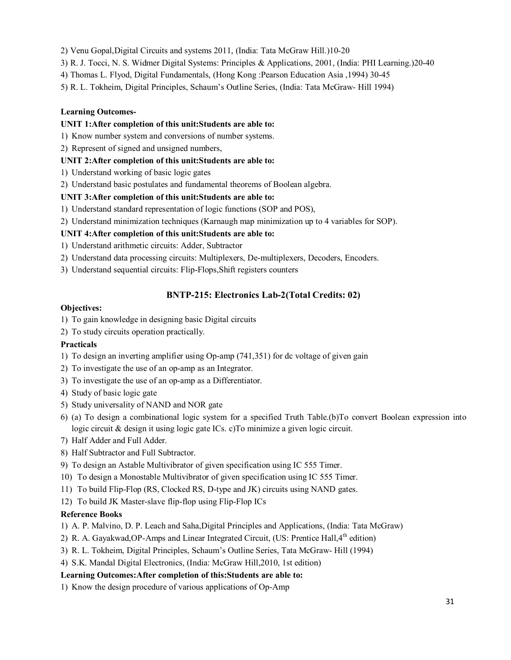- 2) Venu Gopal,Digital Circuits and systems 2011, (India: Tata McGraw Hill.)10-20
- 3) R. J. Tocci, N. S. Widmer Digital Systems: Principles & Applications, 2001, (India: PHI Learning.)20-40
- 4) Thomas L. Flyod, Digital Fundamentals, (Hong Kong :Pearson Education Asia ,1994) 30-45
- 5) R. L. Tokheim, Digital Principles, Schaum's Outline Series, (India: Tata McGraw- Hill 1994)

## **Learning Outcomes-**

## **UNIT 1:After completion of this unit:Students are able to:**

- 1) Know number system and conversions of number systems.
- 2) Represent of signed and unsigned numbers,

## **UNIT 2:After completion of this unit:Students are able to:**

- 1) Understand working of basic logic gates
- 2) Understand basic postulates and fundamental theorems of Boolean algebra.

## **UNIT 3:After completion of this unit:Students are able to:**

- 1) Understand standard representation of logic functions (SOP and POS),
- 2) Understand minimization techniques (Karnaugh map minimization up to 4 variables for SOP).

## **UNIT 4:After completion of this unit:Students are able to:**

- 1) Understand arithmetic circuits: Adder, Subtractor
- 2) Understand data processing circuits: Multiplexers, De-multiplexers, Decoders, Encoders.
- 3) Understand sequential circuits: Flip-Flops,Shift registers counters

## **BNTP-215: Electronics Lab-2(Total Credits: 02)**

## **Objectives:**

- 1) To gain knowledge in designing basic Digital circuits
- 2) To study circuits operation practically.

## **Practicals**

- 1) To design an inverting amplifier using Op-amp (741,351) for dc voltage of given gain
- 2) To investigate the use of an op-amp as an Integrator.
- 3) To investigate the use of an op-amp as a Differentiator.
- 4) Study of basic logic gate
- 5) Study universality of NAND and NOR gate
- 6) (a) To design a combinational logic system for a specified Truth Table.(b)To convert Boolean expression into logic circuit & design it using logic gate ICs. c)To minimize a given logic circuit.
- 7) Half Adder and Full Adder.
- 8) Half Subtractor and Full Subtractor.
- 9) To design an Astable Multivibrator of given specification using IC 555 Timer.
- 10) To design a Monostable Multivibrator of given specification using IC 555 Timer.
- 11) To build Flip-Flop (RS, Clocked RS, D-type and JK) circuits using NAND gates.
- 12) To build JK Master-slave flip-flop using Flip-Flop ICs

## **Reference Books**

- 1) A. P. Malvino, D. P. Leach and Saha,Digital Principles and Applications, (India: Tata McGraw)
- 2) R. A. Gayakwad, OP-Amps and Linear Integrated Circuit, (US: Prentice Hall, 4<sup>th</sup> edition)
- 3) R. L. Tokheim, Digital Principles, Schaum's Outline Series, Tata McGraw- Hill (1994)
- 4) S.K. Mandal Digital Electronics, (India: McGraw Hill,2010, 1st edition)

## **Learning Outcomes:After completion of this:Students are able to:**

1) Know the design procedure of various applications of Op-Amp